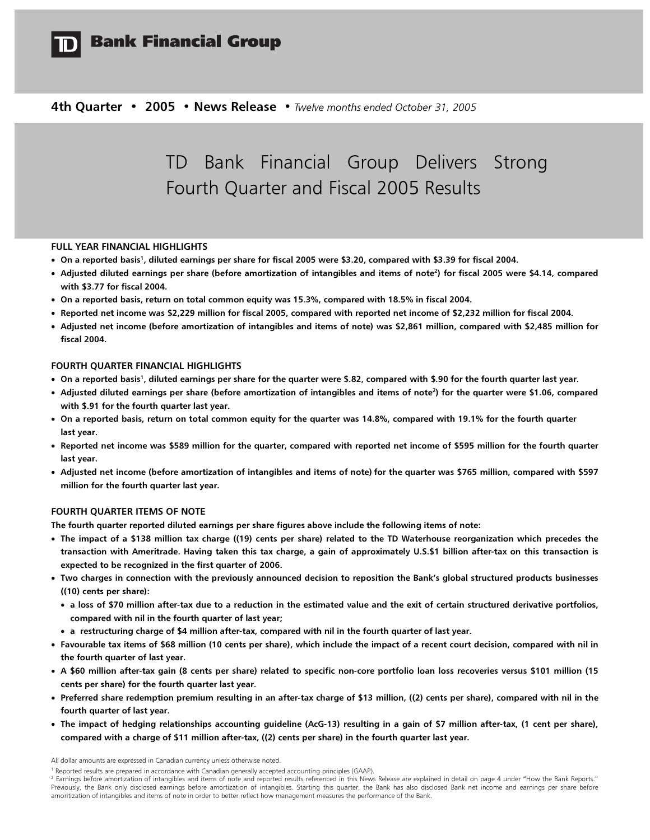

## **Bank Financial Group**

4th Quarter • 2005 • News Release • Twelve months ended October 31, 2005

# TD Bank Financial Group Delivers Strong Fourth Quarter and Fiscal 2005 Results

## FULL YEAR FINANCIAL HIGHLIGHTS

- On a reported basis<sup>1</sup>, diluted earnings per share for fiscal 2005 were \$3.20, compared with \$3.39 for fiscal 2004.
- Adjusted diluted earnings per share (before amortization of intangibles and items of note<sup>2</sup>) for fiscal 2005 were \$4.14, compared with \$3.77 for fiscal 2004.
- On a reported basis, return on total common equity was 15.3%, compared with 18.5% in fiscal 2004.
- Reported net income was \$2,229 million for fiscal 2005, compared with reported net income of \$2,232 million for fiscal 2004.
- Adjusted net income (before amortization of intangibles and items of note) was \$2,861 million, compared with \$2,485 million for fiscal 2004.

## FOURTH QUARTER FINANCIAL HIGHLIGHTS

- On a reported basis<sup>1</sup>, diluted earnings per share for the quarter were \$.82, compared with \$.90 for the fourth quarter last year.
- Adjusted diluted earnings per share (before amortization of intangibles and items of note<sup>2</sup>) for the quarter were \$1.06, compared with \$.91 for the fourth quarter last year.
- On a reported basis, return on total common equity for the quarter was 14.8%, compared with 19.1% for the fourth quarter last year.
- Reported net income was \$589 million for the quarter, compared with reported net income of \$595 million for the fourth quarter last year.
- Adjusted net income (before amortization of intangibles and items of note) for the quarter was \$765 million, compared with \$597 million for the fourth quarter last year.

#### FOURTH QUARTER ITEMS OF NOTE

The fourth quarter reported diluted earnings per share figures above include the following items of note:

- The impact of a \$138 million tax charge ((19) cents per share) related to the TD Waterhouse reorganization which precedes the transaction with Ameritrade. Having taken this tax charge, a gain of approximately U.S.\$1 billion after-tax on this transaction is expected to be recognized in the first quarter of 2006.
- Two charges in connection with the previously announced decision to reposition the Bank's global structured products businesses ((10) cents per share):
	- a loss of \$70 million after-tax due to a reduction in the estimated value and the exit of certain structured derivative portfolios, compared with nil in the fourth quarter of last year;
- a restructuring charge of \$4 million after-tax, compared with nil in the fourth quarter of last year.
- Favourable tax items of \$68 million (10 cents per share), which include the impact of a recent court decision, compared with nil in the fourth quarter of last year.
- A \$60 million after-tax gain (8 cents per share) related to specific non-core portfolio loan loss recoveries versus \$101 million (15 cents per share) for the fourth quarter last year.
- Preferred share redemption premium resulting in an after-tax charge of \$13 million, ((2) cents per share), compared with nil in the fourth quarter of last year.
- The impact of hedging relationships accounting guideline (AcG-13) resulting in a gain of \$7 million after-tax, (1 cent per share), compared with a charge of \$11 million after-tax, ((2) cents per share) in the fourth quarter last year.

All dollar amounts are expressed in Canadian currency unless otherwise noted.

<sup>&</sup>lt;sup>1</sup> Reported results are prepared in accordance with Canadian generally accepted accounting principles (GAAP).

<sup>&</sup>lt;sup>2</sup> Earnings before amortization of intangibles and items of note and reported results referenced in this News Release are explained in detail on page 4 under "How the Bank Reports." Previously, the Bank only disclosed earnings before amortization of intangibles. Starting this quarter, the Bank has also disclosed Bank net income and earnings per share before amoritization of intangibles and items of note in order to better reflect how management measures the performance of the Bank.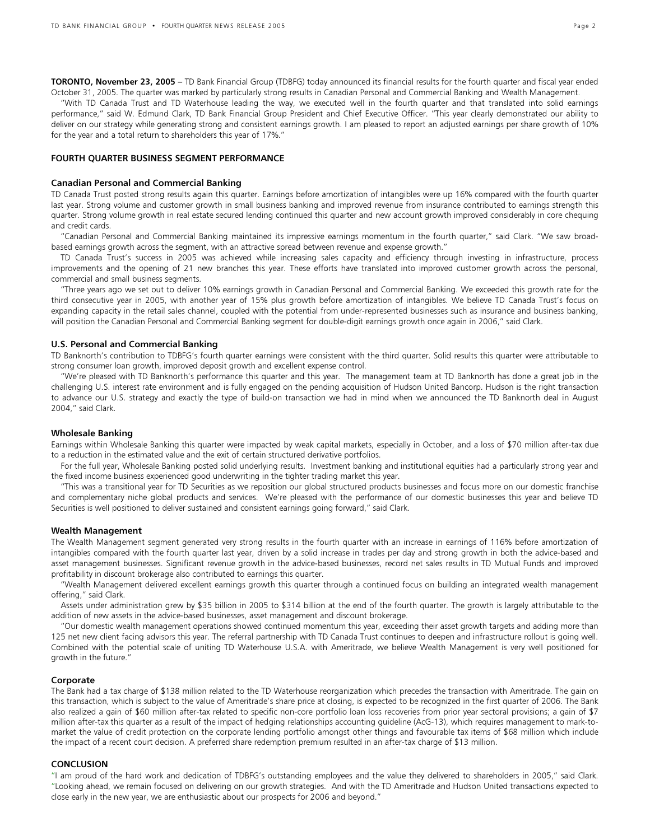TORONTO, November 23, 2005 – TD Bank Financial Group (TDBFG) today announced its financial results for the fourth quarter and fiscal year ended October 31, 2005. The quarter was marked by particularly strong results in Canadian Personal and Commercial Banking and Wealth Management.

 "With TD Canada Trust and TD Waterhouse leading the way, we executed well in the fourth quarter and that translated into solid earnings performance," said W. Edmund Clark, TD Bank Financial Group President and Chief Executive Officer. "This year clearly demonstrated our ability to deliver on our strategy while generating strong and consistent earnings growth. I am pleased to report an adjusted earnings per share growth of 10% for the year and a total return to shareholders this year of 17%."

#### FOURTH QUARTER BUSINESS SEGMENT PERFORMANCE

#### Canadian Personal and Commercial Banking

TD Canada Trust posted strong results again this quarter. Earnings before amortization of intangibles were up 16% compared with the fourth quarter last year. Strong volume and customer growth in small business banking and improved revenue from insurance contributed to earnings strength this quarter. Strong volume growth in real estate secured lending continued this quarter and new account growth improved considerably in core chequing and credit cards.

"Canadian Personal and Commercial Banking maintained its impressive earnings momentum in the fourth quarter," said Clark. "We saw broadbased earnings growth across the segment, with an attractive spread between revenue and expense growth."

 TD Canada Trust's success in 2005 was achieved while increasing sales capacity and efficiency through investing in infrastructure, process improvements and the opening of 21 new branches this year. These efforts have translated into improved customer growth across the personal, commercial and small business segments.

 "Three years ago we set out to deliver 10% earnings growth in Canadian Personal and Commercial Banking. We exceeded this growth rate for the third consecutive year in 2005, with another year of 15% plus growth before amortization of intangibles. We believe TD Canada Trust's focus on expanding capacity in the retail sales channel, coupled with the potential from under-represented businesses such as insurance and business banking, will position the Canadian Personal and Commercial Banking segment for double-digit earnings growth once again in 2006," said Clark.

#### U.S. Personal and Commercial Banking

TD Banknorth's contribution to TDBFG's fourth quarter earnings were consistent with the third quarter. Solid results this quarter were attributable to strong consumer loan growth, improved deposit growth and excellent expense control.

 "We're pleased with TD Banknorth's performance this quarter and this year. The management team at TD Banknorth has done a great job in the challenging U.S. interest rate environment and is fully engaged on the pending acquisition of Hudson United Bancorp. Hudson is the right transaction to advance our U.S. strategy and exactly the type of build-on transaction we had in mind when we announced the TD Banknorth deal in August 2004," said Clark.

#### Wholesale Banking

Earnings within Wholesale Banking this quarter were impacted by weak capital markets, especially in October, and a loss of \$70 million after-tax due to a reduction in the estimated value and the exit of certain structured derivative portfolios.

For the full year, Wholesale Banking posted solid underlying results. Investment banking and institutional equities had a particularly strong year and the fixed income business experienced good underwriting in the tighter trading market this year.

 "This was a transitional year for TD Securities as we reposition our global structured products businesses and focus more on our domestic franchise and complementary niche global products and services. We're pleased with the performance of our domestic businesses this year and believe TD Securities is well positioned to deliver sustained and consistent earnings going forward," said Clark.

#### Wealth Management

The Wealth Management segment generated very strong results in the fourth quarter with an increase in earnings of 116% before amortization of intangibles compared with the fourth quarter last year, driven by a solid increase in trades per day and strong growth in both the advice-based and asset management businesses. Significant revenue growth in the advice-based businesses, record net sales results in TD Mutual Funds and improved profitability in discount brokerage also contributed to earnings this quarter.

 "Wealth Management delivered excellent earnings growth this quarter through a continued focus on building an integrated wealth management offering," said Clark.

 Assets under administration grew by \$35 billion in 2005 to \$314 billion at the end of the fourth quarter. The growth is largely attributable to the addition of new assets in the advice-based businesses, asset management and discount brokerage.

 "Our domestic wealth management operations showed continued momentum this year, exceeding their asset growth targets and adding more than 125 net new client facing advisors this year. The referral partnership with TD Canada Trust continues to deepen and infrastructure rollout is going well. Combined with the potential scale of uniting TD Waterhouse U.S.A. with Ameritrade, we believe Wealth Management is very well positioned for growth in the future."

#### **Corporate**

The Bank had a tax charge of \$138 million related to the TD Waterhouse reorganization which precedes the transaction with Ameritrade. The gain on this transaction, which is subject to the value of Ameritrade's share price at closing, is expected to be recognized in the first quarter of 2006. The Bank also realized a gain of \$60 million after-tax related to specific non-core portfolio loan loss recoveries from prior year sectoral provisions; a gain of \$7 million after-tax this quarter as a result of the impact of hedging relationships accounting guideline (AcG-13), which requires management to mark-tomarket the value of credit protection on the corporate lending portfolio amongst other things and favourable tax items of \$68 million which include the impact of a recent court decision. A preferred share redemption premium resulted in an after-tax charge of \$13 million.

## **CONCLUSION**

"I am proud of the hard work and dedication of TDBFG's outstanding employees and the value they delivered to shareholders in 2005," said Clark. "Looking ahead, we remain focused on delivering on our growth strategies. And with the TD Ameritrade and Hudson United transactions expected to close early in the new year, we are enthusiastic about our prospects for 2006 and beyond."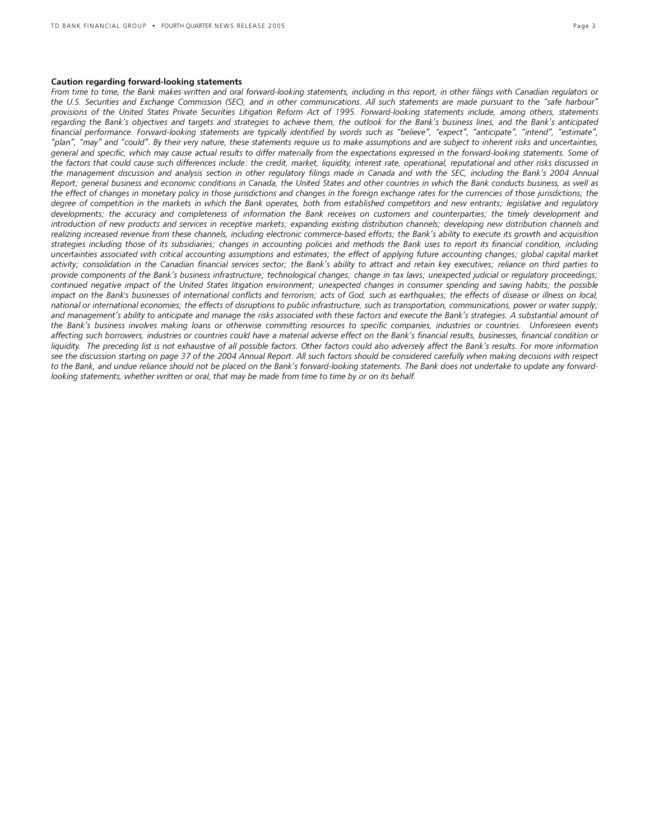#### Caution regarding forward-looking statements

From time to time, the Bank makes written and oral forward-looking statements, including in this report, in other filings with Canadian regulators or the U.S. Securities and Exchange Commission (SEC), and in other communications. All such statements are made pursuant to the "safe harbour" provisions of the United States Private Securities Litigation Reform Act of 1995. Forward-looking statements include, among others, statements regarding the Bank's objectives and targets and strategies to achieve them, the outlook for the Bank's business lines, and the Bank's anticipated financial performance. Forward-looking statements are typically identified by words such as "believe", "expect", "anticipate", "intend", "estimate", "plan", "may" and "could". By their very nature, these statements require us to make assumptions and are subject to inherent risks and uncertainties, general and specific, which may cause actual results to differ materially from the expectations expressed in the forward-looking statements. Some of the factors that could cause such differences include: the credit, market, liquidity, interest rate, operational, reputational and other risks discussed in the management discussion and analysis section in other regulatory filings made in Canada and with the SEC, including the Bank's 2004 Annual Report; general business and economic conditions in Canada, the United States and other countries in which the Bank conducts business, as well as the effect of changes in monetary policy in those jurisdictions and changes in the foreign exchange rates for the currencies of those jurisdictions; the degree of competition in the markets in which the Bank operates, both from established competitors and new entrants; legislative and regulatory developments; the accuracy and completeness of information the Bank receives on customers and counterparties; the timely development and introduction of new products and services in receptive markets; expanding existing distribution channels; developing new distribution channels and realizing increased revenue from these channels, including electronic commerce-based efforts; the Bank's ability to execute its growth and acquisition strategies including those of its subsidiaries; changes in accounting policies and methods the Bank uses to report its financial condition, including uncertainties associated with critical accounting assumptions and estimates; the effect of applying future accounting changes; global capital market activity; consolidation in the Canadian financial services sector; the Bank's ability to attract and retain key executives; reliance on third parties to provide components of the Bank's business infrastructure; technological changes; change in tax laws; unexpected judicial or regulatory proceedings; continued negative impact of the United States litigation environment; unexpected changes in consumer spending and saving habits; the possible impact on the Bank's businesses of international conflicts and terrorism; acts of God, such as earthquakes; the effects of disease or illness on local, national or international economies; the effects of disruptions to public infrastructure, such as transportation, communications, power or water supply; and management's ability to anticipate and manage the risks associated with these factors and execute the Bank's strategies. A substantial amount of the Bank's business involves making loans or otherwise committing resources to specific companies, industries or countries. Unforeseen events affecting such borrowers, industries or countries could have a material adverse effect on the Bank's financial results, businesses, financial condition or liquidity. The preceding list is not exhaustive of all possible factors. Other factors could also adversely affect the Bank's results. For more information see the discussion starting on page 37 of the 2004 Annual Report. All such factors should be considered carefully when making decisions with respect to the Bank, and undue reliance should not be placed on the Bank's forward-looking statements. The Bank does not undertake to update any forwardlooking statements, whether written or oral, that may be made from time to time by or on its behalf.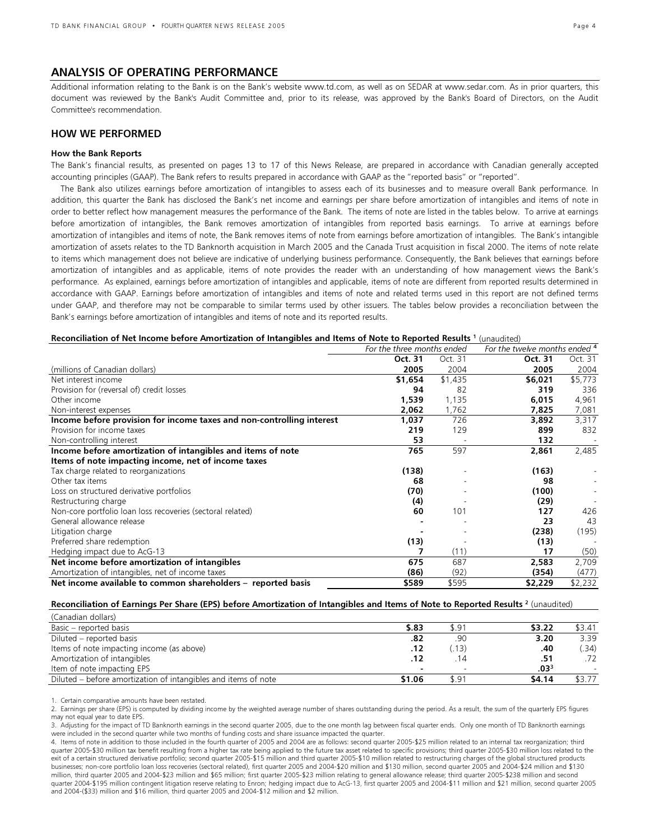## ANALYSIS OF OPERATING PERFORMANCE

Additional information relating to the Bank is on the Bank's website www.td.com, as well as on SEDAR at www.sedar.com. As in prior quarters, this document was reviewed by the Bank's Audit Committee and, prior to its release, was approved by the Bank's Board of Directors, on the Audit Committee's recommendation.

## HOW WE PERFORMED

#### How the Bank Reports

The Bank's financial results, as presented on pages 13 to 17 of this News Release, are prepared in accordance with Canadian generally accepted accounting principles (GAAP). The Bank refers to results prepared in accordance with GAAP as the "reported basis" or "reported".

 The Bank also utilizes earnings before amortization of intangibles to assess each of its businesses and to measure overall Bank performance. In addition, this quarter the Bank has disclosed the Bank's net income and earnings per share before amortization of intangibles and items of note in order to better reflect how management measures the performance of the Bank. The items of note are listed in the tables below. To arrive at earnings before amortization of intangibles, the Bank removes amortization of intangibles from reported basis earnings. To arrive at earnings before amortization of intangibles and items of note, the Bank removes items of note from earnings before amortization of intangibles. The Bank's intangible amortization of assets relates to the TD Banknorth acquisition in March 2005 and the Canada Trust acquisition in fiscal 2000. The items of note relate to items which management does not believe are indicative of underlying business performance. Consequently, the Bank believes that earnings before amortization of intangibles and as applicable, items of note provides the reader with an understanding of how management views the Bank's performance. As explained, earnings before amortization of intangibles and applicable, items of note are different from reported results determined in accordance with GAAP. Earnings before amortization of intangibles and items of note and related terms used in this report are not defined terms under GAAP, and therefore may not be comparable to similar terms used by other issuers. The tables below provides a reconciliation between the Bank's earnings before amortization of intangibles and items of note and its reported results.

#### Reconciliation of Net Income before Amortization of Intangibles and Items of Note to Reported Results<sup>1</sup> (unaudited)

|                                                                       | For the three months ended |         | For the twelve months ended 4 |         |
|-----------------------------------------------------------------------|----------------------------|---------|-------------------------------|---------|
|                                                                       | Oct. 31                    | Oct. 31 | Oct. 31                       | Oct. 31 |
| (millions of Canadian dollars)                                        | 2005                       | 2004    | 2005                          | 2004    |
| Net interest income                                                   | \$1,654                    | \$1,435 | \$6,021                       | \$5,773 |
| Provision for (reversal of) credit losses                             | 94                         | 82      | 319                           | 336     |
| Other income                                                          | 1,539                      | 1,135   | 6,015                         | 4,961   |
| Non-interest expenses                                                 | 2,062                      | 1,762   | 7,825                         | 7,081   |
| Income before provision for income taxes and non-controlling interest | 1,037                      | 726     | 3,892                         | 3,317   |
| Provision for income taxes                                            | 219                        | 129     | 899                           | 832     |
| Non-controlling interest                                              | 53                         |         | 132                           |         |
| Income before amortization of intangibles and items of note           | 765                        | 597     | 2,861                         | 2,485   |
| Items of note impacting income, net of income taxes                   |                            |         |                               |         |
| Tax charge related to reorganizations                                 | (138)                      |         | (163)                         |         |
| Other tax items                                                       | 68                         |         | 98                            |         |
| Loss on structured derivative portfolios                              | (70)                       |         | (100)                         |         |
| Restructuring charge                                                  | (4)                        |         | (29)                          |         |
| Non-core portfolio loan loss recoveries (sectoral related)            | 60                         | 101     | 127                           | 426     |
| General allowance release                                             |                            |         | 23                            | 43      |
| Litigation charge                                                     |                            |         | (238)                         | (195)   |
| Preferred share redemption                                            | (13)                       |         | (13)                          |         |
| Hedging impact due to AcG-13                                          |                            | (11)    | 17                            | (50)    |
| Net income before amortization of intangibles                         | 675                        | 687     | 2,583                         | 2,709   |
| Amortization of intangibles, net of income taxes                      | (86)                       | (92)    | (354)                         | (477)   |
| Net income available to common shareholders - reported basis          | \$589                      | \$595   | \$2,229                       | \$2,232 |

#### Reconciliation of Earnings Per Share (EPS) before Amortization of Intangibles and Items of Note to Reported Results <sup>2</sup> (unaudited)

| (Canadian dollars)                                             |        |       |                  |        |
|----------------------------------------------------------------|--------|-------|------------------|--------|
| Basic – reported basis                                         | \$.83  | \$.91 | \$3.22           | \$3.41 |
| Diluted – reported basis                                       | .82    | .90   | 3.20             | 3.39   |
| Items of note impacting income (as above)                      | .12    | (13)  | .40              | .34)   |
| Amortization of intangibles                                    | .12    | .14   | .51              | .72    |
| Item of note impacting EPS                                     | $\sim$ |       | .03 <sup>3</sup> |        |
| Diluted – before amortization of intangibles and items of note | \$1.06 | \$.91 | \$4.14           | \$3.77 |

1. Certain comparative amounts have been restated.

2. Earnings per share (EPS) is computed by dividing income by the weighted average number of shares outstanding during the period. As a result, the sum of the quarterly EPS figures may not equal year to date EPS.

3. Adjusting for the impact of TD Banknorth earnings in the second quarter 2005, due to the one month lag between fiscal quarter ends. Only one month of TD Banknorth earnings were included in the second quarter while two months of funding costs and share issuance impacted the quarter.

4. Items of note in addition to those included in the fourth quarter of 2005 and 2004 are as follows: second quarter 2005-\$25 million related to an internal tax reorganization; third quarter 2005-\$30 million tax benefit resulting from a higher tax rate being applied to the future tax asset related to specific provisions; third quarter 2005-\$30 million loss related to the exit of a certain structured derivative portfolio; second quarter 2005-\$15 million and third quarter 2005-\$10 million related to restructuring charges of the global structured products businesses; non-core portfolio loan loss recoveries (sectoral related), first quarter 2005 and 2004-\$20 million and \$130 million, second quarter 2005 and 2004-\$24 million and \$130 million, third quarter 2005 and 2004-\$23 million and \$65 million; first quarter 2005-\$23 million relating to general allowance release; third quarter 2005-\$238 million and second quarter 2004-\$195 million contingent litigation reserve relating to Enron; hedging impact due to AcG-13, first quarter 2005 and 2004-\$11 million and \$21 million, second quarter 2005 and 2004-(\$33) million and \$16 million, third quarter 2005 and 2004-\$12 million and \$2 million.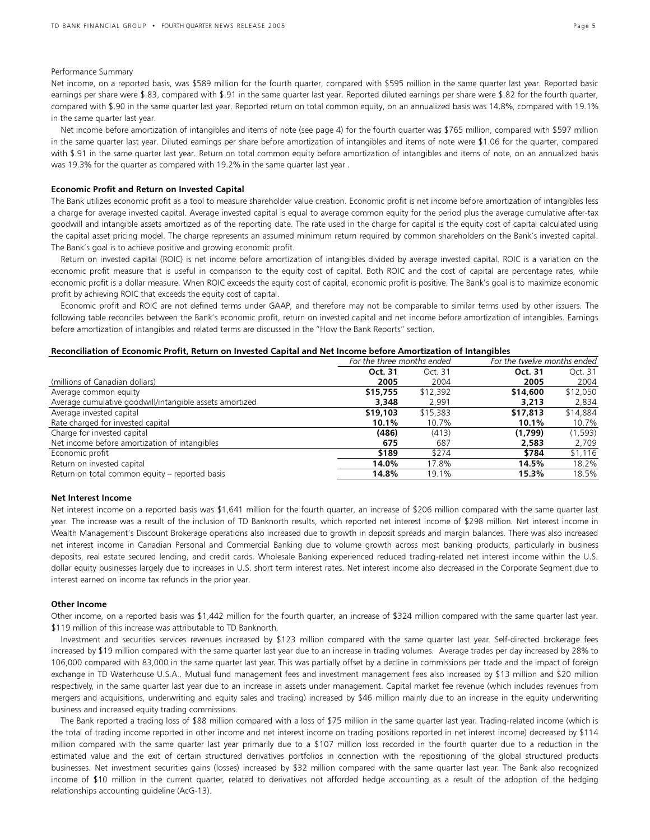#### Performance Summary

Net income, on a reported basis, was \$589 million for the fourth quarter, compared with \$595 million in the same quarter last year. Reported basic earnings per share were \$.83, compared with \$.91 in the same quarter last year. Reported diluted earnings per share were \$.82 for the fourth quarter, compared with \$.90 in the same quarter last year. Reported return on total common equity, on an annualized basis was 14.8%, compared with 19.1% in the same quarter last year.

 Net income before amortization of intangibles and items of note (see page 4) for the fourth quarter was \$765 million, compared with \$597 million in the same quarter last year. Diluted earnings per share before amortization of intangibles and items of note were \$1.06 for the quarter, compared with \$.91 in the same quarter last year. Return on total common equity before amortization of intangibles and items of note, on an annualized basis was 19.3% for the quarter as compared with 19.2% in the same quarter last year .

#### Economic Profit and Return on Invested Capital

The Bank utilizes economic profit as a tool to measure shareholder value creation. Economic profit is net income before amortization of intangibles less a charge for average invested capital. Average invested capital is equal to average common equity for the period plus the average cumulative after-tax goodwill and intangible assets amortized as of the reporting date. The rate used in the charge for capital is the equity cost of capital calculated using the capital asset pricing model. The charge represents an assumed minimum return required by common shareholders on the Bank's invested capital. The Bank's goal is to achieve positive and growing economic profit.

 Return on invested capital (ROIC) is net income before amortization of intangibles divided by average invested capital. ROIC is a variation on the economic profit measure that is useful in comparison to the equity cost of capital. Both ROIC and the cost of capital are percentage rates, while economic profit is a dollar measure. When ROIC exceeds the equity cost of capital, economic profit is positive. The Bank's goal is to maximize economic profit by achieving ROIC that exceeds the equity cost of capital.

 Economic profit and ROIC are not defined terms under GAAP, and therefore may not be comparable to similar terms used by other issuers. The following table reconciles between the Bank's economic profit, return on invested capital and net income before amortization of intangibles. Earnings before amortization of intangibles and related terms are discussed in the "How the Bank Reports" section.

#### Reconciliation of Economic Profit, Return on Invested Capital and Net Income before Amortization of Intangibles

|                                                         | For the three months ended |          | For the twelve months ended |          |
|---------------------------------------------------------|----------------------------|----------|-----------------------------|----------|
|                                                         | Oct. 31                    | Oct. 31  | Oct. 31                     | Oct. 31  |
| (millions of Canadian dollars)                          | 2005                       | 2004     | 2005                        | 2004     |
| Average common equity                                   | \$15,755                   | \$12,392 | \$14,600                    | \$12,050 |
| Average cumulative goodwill/intangible assets amortized | 3,348                      | 2.991    | 3,213                       | 2,834    |
| Average invested capital                                | \$19,103                   | \$15,383 | \$17,813                    | \$14,884 |
| Rate charged for invested capital                       | 10.1%                      | 10.7%    | 10.1%                       | 10.7%    |
| Charge for invested capital                             | (486)                      | (413)    | (1,799)                     | (1,593)  |
| Net income before amortization of intangibles           | 675                        | 687      | 2,583                       | 2,709    |
| Economic profit                                         | \$189                      | \$274    | \$784                       | \$1,116  |
| Return on invested capital                              | 14.0%                      | 17.8%    | 14.5%                       | 18.2%    |
| Return on total common equity – reported basis          | 14.8%                      | 19.1%    | 15.3%                       | 18.5%    |

#### Net Interest Income

Net interest income on a reported basis was \$1,641 million for the fourth quarter, an increase of \$206 million compared with the same quarter last year. The increase was a result of the inclusion of TD Banknorth results, which reported net interest income of \$298 million. Net interest income in Wealth Management's Discount Brokerage operations also increased due to growth in deposit spreads and margin balances. There was also increased net interest income in Canadian Personal and Commercial Banking due to volume growth across most banking products, particularly in business deposits, real estate secured lending, and credit cards. Wholesale Banking experienced reduced trading-related net interest income within the U.S. dollar equity businesses largely due to increases in U.S. short term interest rates. Net interest income also decreased in the Corporate Segment due to interest earned on income tax refunds in the prior year.

#### Other Income

Other income, on a reported basis was \$1,442 million for the fourth quarter, an increase of \$324 million compared with the same quarter last year. \$119 million of this increase was attributable to TD Banknorth.

 Investment and securities services revenues increased by \$123 million compared with the same quarter last year. Self-directed brokerage fees increased by \$19 million compared with the same quarter last year due to an increase in trading volumes. Average trades per day increased by 28% to 106,000 compared with 83,000 in the same quarter last year. This was partially offset by a decline in commissions per trade and the impact of foreign exchange in TD Waterhouse U.S.A.. Mutual fund management fees and investment management fees also increased by \$13 million and \$20 million respectively, in the same quarter last year due to an increase in assets under management. Capital market fee revenue (which includes revenues from mergers and acquisitions, underwriting and equity sales and trading) increased by \$46 million mainly due to an increase in the equity underwriting business and increased equity trading commissions.

 The Bank reported a trading loss of \$88 million compared with a loss of \$75 million in the same quarter last year. Trading-related income (which is the total of trading income reported in other income and net interest income on trading positions reported in net interest income) decreased by \$114 million compared with the same quarter last year primarily due to a \$107 million loss recorded in the fourth quarter due to a reduction in the estimated value and the exit of certain structured derivatives portfolios in connection with the repositioning of the global structured products businesses. Net investment securities gains (losses) increased by \$32 million compared with the same quarter last year. The Bank also recognized income of \$10 million in the current quarter, related to derivatives not afforded hedge accounting as a result of the adoption of the hedging relationships accounting guideline (AcG-13).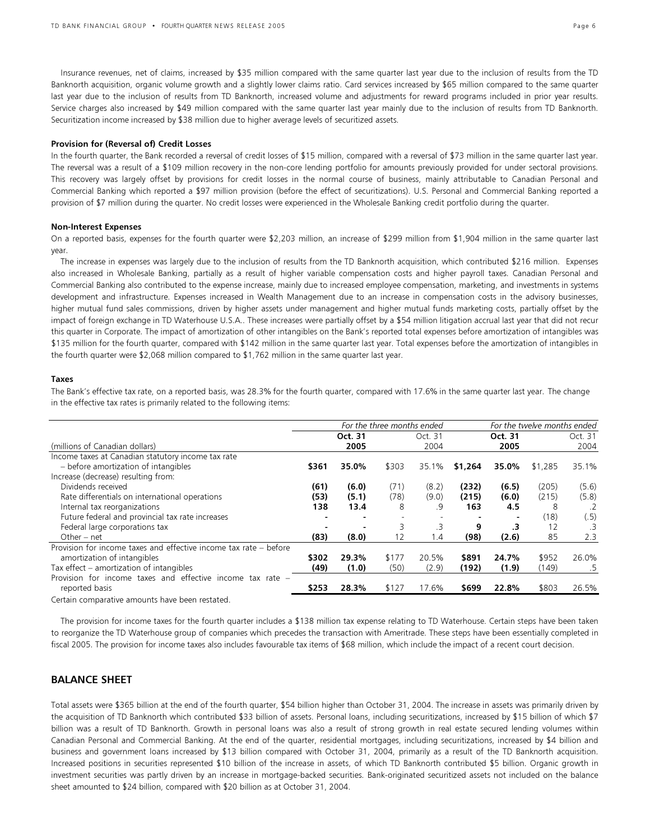Securitization income increased by \$38 million due to higher average levels of securitized assets.

 Insurance revenues, net of claims, increased by \$35 million compared with the same quarter last year due to the inclusion of results from the TD Banknorth acquisition, organic volume growth and a slightly lower claims ratio. Card services increased by \$65 million compared to the same quarter last year due to the inclusion of results from TD Banknorth, increased volume and adjustments for reward programs included in prior year results. Service charges also increased by \$49 million compared with the same quarter last year mainly due to the inclusion of results from TD Banknorth.

#### Provision for (Reversal of) Credit Losses

In the fourth quarter, the Bank recorded a reversal of credit losses of \$15 million, compared with a reversal of \$73 million in the same quarter last year. The reversal was a result of a \$109 million recovery in the non-core lending portfolio for amounts previously provided for under sectoral provisions. This recovery was largely offset by provisions for credit losses in the normal course of business, mainly attributable to Canadian Personal and Commercial Banking which reported a \$97 million provision (before the effect of securitizations). U.S. Personal and Commercial Banking reported a provision of \$7 million during the quarter. No credit losses were experienced in the Wholesale Banking credit portfolio during the quarter.

#### Non-Interest Expenses

On a reported basis, expenses for the fourth quarter were \$2,203 million, an increase of \$299 million from \$1,904 million in the same quarter last year.

 The increase in expenses was largely due to the inclusion of results from the TD Banknorth acquisition, which contributed \$216 million. Expenses also increased in Wholesale Banking, partially as a result of higher variable compensation costs and higher payroll taxes. Canadian Personal and Commercial Banking also contributed to the expense increase, mainly due to increased employee compensation, marketing, and investments in systems development and infrastructure. Expenses increased in Wealth Management due to an increase in compensation costs in the advisory businesses, higher mutual fund sales commissions, driven by higher assets under management and higher mutual funds marketing costs, partially offset by the impact of foreign exchange in TD Waterhouse U.S.A.. These increases were partially offset by a \$54 million litigation accrual last year that did not recur this quarter in Corporate. The impact of amortization of other intangibles on the Bank's reported total expenses before amortization of intangibles was \$135 million for the fourth quarter, compared with \$142 million in the same quarter last year. Total expenses before the amortization of intangibles in the fourth quarter were \$2,068 million compared to \$1,762 million in the same quarter last year.

#### Taxes

The Bank's effective tax rate, on a reported basis, was 28.3% for the fourth quarter, compared with 17.6% in the same quarter last year. The change in the effective tax rates is primarily related to the following items:

|                                                                                                                 |       |         | For the three months ended |         |         |         | For the twelve months ended |            |
|-----------------------------------------------------------------------------------------------------------------|-------|---------|----------------------------|---------|---------|---------|-----------------------------|------------|
|                                                                                                                 |       | Oct. 31 |                            | Oct. 31 |         | Oct. 31 |                             | Oct. 31    |
| (millions of Canadian dollars)                                                                                  |       | 2005    |                            | 2004    |         | 2005    |                             | 2004       |
| Income taxes at Canadian statutory income tax rate                                                              |       |         |                            |         |         |         |                             |            |
| - before amortization of intangibles                                                                            | \$361 | 35.0%   | \$303                      | 35.1%   | \$1,264 | 35.0%   | \$1,285                     | 35.1%      |
| Increase (decrease) resulting from:                                                                             |       |         |                            |         |         |         |                             |            |
| Dividends received                                                                                              | (61)  | (6.0)   | (71)                       | (8.2)   | (232)   | (6.5)   | (205)                       | (5.6)      |
| Rate differentials on international operations                                                                  | (53)  | (5.1)   | (78)                       | (9.0)   | (215)   | (6.0)   | (215)                       | (5.8)      |
| Internal tax reorganizations                                                                                    | 138   | 13.4    | 8                          | .9      | 163     | 4.5     | 8                           | $\cdot$ .2 |
| Future federal and provincial tax rate increases                                                                |       |         |                            |         |         |         | (18)                        | (.5)       |
| Federal large corporations tax                                                                                  |       |         |                            | .3      | 9       | .3      | 12                          | .3         |
| Other $-$ net                                                                                                   | (83)  | (8.0)   | $12 \overline{ }$          | 1.4     | (98)    | (2.6)   | 85                          | 2.3        |
| Provision for income taxes and effective income tax rate – before                                               |       |         |                            |         |         |         |                             |            |
| amortization of intangibles                                                                                     | \$302 | 29.3%   | \$177                      | 20.5%   | \$891   | 24.7%   | \$952                       | 26.0%      |
| Tax effect – amortization of intangibles                                                                        | (49)  | (1.0)   | (50)                       | (2.9)   | (192)   | (1.9)   | (149)                       | .5         |
| Provision for income taxes and effective income tax rate -                                                      |       |         |                            |         |         |         |                             |            |
| reported basis                                                                                                  | \$253 | 28.3%   | \$127                      | 17.6%   | \$699   | 22.8%   | \$803                       | 26.5%      |
| the contract of the contract of the contract of the contract of the contract of the contract of the contract of |       |         |                            |         |         |         |                             |            |

Certain comparative amounts have been restated.

The provision for income taxes for the fourth quarter includes a \$138 million tax expense relating to TD Waterhouse. Certain steps have been taken to reorganize the TD Waterhouse group of companies which precedes the transaction with Ameritrade. These steps have been essentially completed in fiscal 2005. The provision for income taxes also includes favourable tax items of \$68 million, which include the impact of a recent court decision.

## BALANCE SHEET

Total assets were \$365 billion at the end of the fourth quarter, \$54 billion higher than October 31, 2004. The increase in assets was primarily driven by the acquisition of TD Banknorth which contributed \$33 billion of assets. Personal loans, including securitizations, increased by \$15 billion of which \$7 billion was a result of TD Banknorth. Growth in personal loans was also a result of strong growth in real estate secured lending volumes within Canadian Personal and Commercial Banking. At the end of the quarter, residential mortgages, including securitizations, increased by \$4 billion and business and government loans increased by \$13 billion compared with October 31, 2004, primarily as a result of the TD Banknorth acquisition. Increased positions in securities represented \$10 billion of the increase in assets, of which TD Banknorth contributed \$5 billion. Organic growth in investment securities was partly driven by an increase in mortgage-backed securities. Bank-originated securitized assets not included on the balance sheet amounted to \$24 billion, compared with \$20 billion as at October 31, 2004.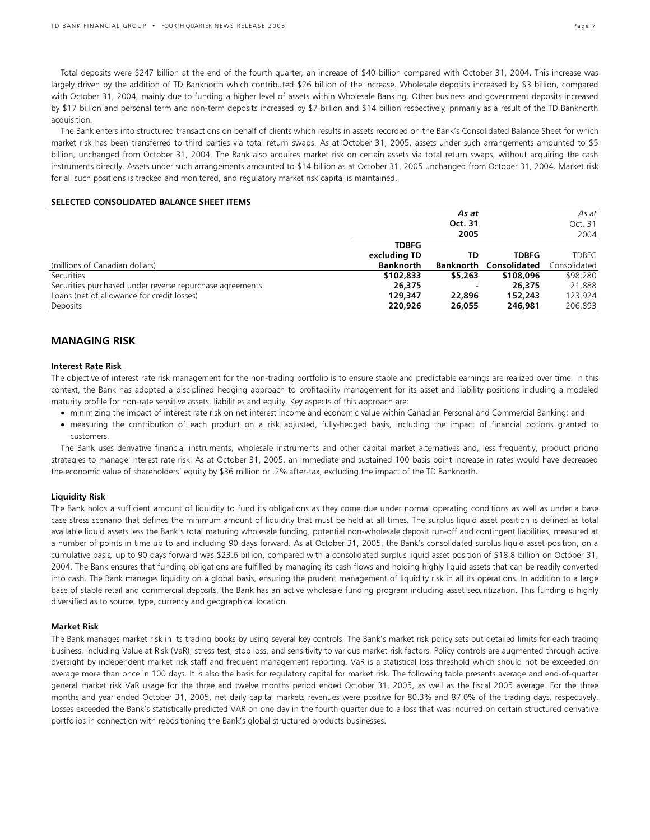Total deposits were \$247 billion at the end of the fourth quarter, an increase of \$40 billion compared with October 31, 2004. This increase was largely driven by the addition of TD Banknorth which contributed \$26 billion of the increase. Wholesale deposits increased by \$3 billion, compared with October 31, 2004, mainly due to funding a higher level of assets within Wholesale Banking. Other business and government deposits increased by \$17 billion and personal term and non-term deposits increased by \$7 billion and \$14 billion respectively, primarily as a result of the TD Banknorth acquisition.

 The Bank enters into structured transactions on behalf of clients which results in assets recorded on the Bank's Consolidated Balance Sheet for which market risk has been transferred to third parties via total return swaps. As at October 31, 2005, assets under such arrangements amounted to \$5 billion, unchanged from October 31, 2004. The Bank also acquires market risk on certain assets via total return swaps, without acquiring the cash instruments directly. Assets under such arrangements amounted to \$14 billion as at October 31, 2005 unchanged from October 31, 2004. Market risk for all such positions is tracked and monitored, and regulatory market risk capital is maintained.

#### SELECTED CONSOLIDATED BALANCE SHEET ITEMS

|                                                          |                  | As at     |              | As at        |
|----------------------------------------------------------|------------------|-----------|--------------|--------------|
|                                                          |                  | Oct. 31   |              | Oct. 31      |
|                                                          |                  | 2005      |              | 2004         |
|                                                          | <b>TDBFG</b>     |           |              |              |
|                                                          | excluding TD     | TD        | <b>TDBFG</b> | TDBFG        |
| (millions of Canadian dollars)                           | <b>Banknorth</b> | Banknorth | Consolidated | Consolidated |
| Securities                                               | \$102,833        | \$5,263   | \$108,096    | \$98,280     |
| Securities purchased under reverse repurchase agreements | 26,375           |           | 26,375       | 21,888       |
| Loans (net of allowance for credit losses)               | 129,347          | 22,896    | 152,243      | 123,924      |
| Deposits                                                 | 220,926          | 26,055    | 246.981      | 206.893      |

## MANAGING RISK

#### Interest Rate Risk

The objective of interest rate risk management for the non-trading portfolio is to ensure stable and predictable earnings are realized over time. In this context, the Bank has adopted a disciplined hedging approach to profitability management for its asset and liability positions including a modeled maturity profile for non-rate sensitive assets, liabilities and equity. Key aspects of this approach are:

- minimizing the impact of interest rate risk on net interest income and economic value within Canadian Personal and Commercial Banking; and
- measuring the contribution of each product on a risk adjusted, fully-hedged basis, including the impact of financial options granted to customers.

 The Bank uses derivative financial instruments, wholesale instruments and other capital market alternatives and, less frequently, product pricing strategies to manage interest rate risk. As at October 31, 2005, an immediate and sustained 100 basis point increase in rates would have decreased the economic value of shareholders' equity by \$36 million or .2% after-tax, excluding the impact of the TD Banknorth.

#### Liquidity Risk

The Bank holds a sufficient amount of liquidity to fund its obligations as they come due under normal operating conditions as well as under a base case stress scenario that defines the minimum amount of liquidity that must be held at all times. The surplus liquid asset position is defined as total available liquid assets less the Bank's total maturing wholesale funding, potential non-wholesale deposit run-off and contingent liabilities, measured at a number of points in time up to and including 90 days forward. As at October 31, 2005, the Bank's consolidated surplus liquid asset position, on a cumulative basis, up to 90 days forward was \$23.6 billion, compared with a consolidated surplus liquid asset position of \$18.8 billion on October 31, 2004. The Bank ensures that funding obligations are fulfilled by managing its cash flows and holding highly liquid assets that can be readily converted into cash. The Bank manages liquidity on a global basis, ensuring the prudent management of liquidity risk in all its operations. In addition to a large base of stable retail and commercial deposits, the Bank has an active wholesale funding program including asset securitization. This funding is highly diversified as to source, type, currency and geographical location.

#### Market Risk

The Bank manages market risk in its trading books by using several key controls. The Bank's market risk policy sets out detailed limits for each trading business, including Value at Risk (VaR), stress test, stop loss, and sensitivity to various market risk factors. Policy controls are augmented through active oversight by independent market risk staff and frequent management reporting. VaR is a statistical loss threshold which should not be exceeded on average more than once in 100 days. It is also the basis for regulatory capital for market risk. The following table presents average and end-of-quarter general market risk VaR usage for the three and twelve months period ended October 31, 2005, as well as the fiscal 2005 average. For the three months and year ended October 31, 2005, net daily capital markets revenues were positive for 80.3% and 87.0% of the trading days, respectively. Losses exceeded the Bank's statistically predicted VAR on one day in the fourth quarter due to a loss that was incurred on certain structured derivative portfolios in connection with repositioning the Bank's global structured products businesses.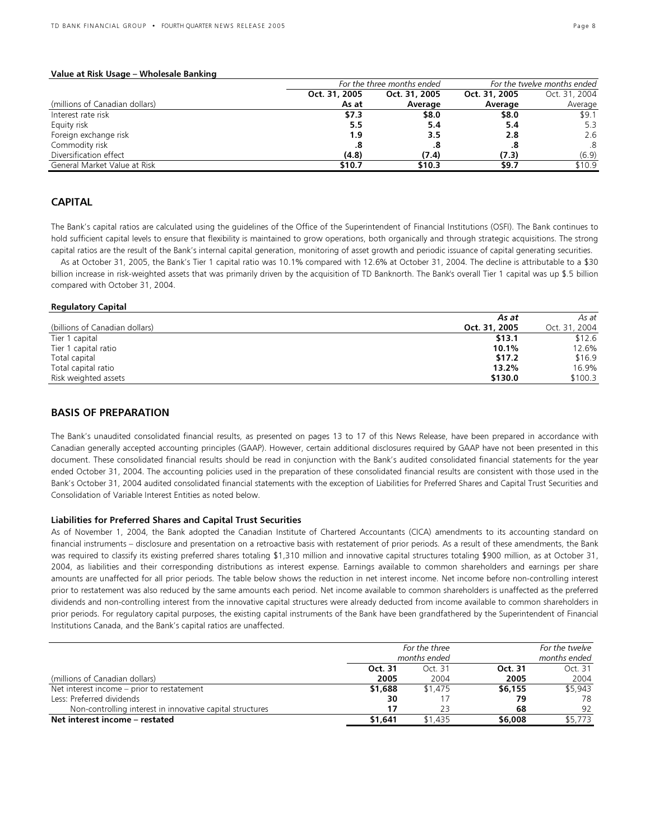#### Value at Risk Usage – Wholesale Banking

|                                |               | For the three months ended |               | For the twelve months ended |
|--------------------------------|---------------|----------------------------|---------------|-----------------------------|
|                                | Oct. 31, 2005 | Oct. 31, 2005              | Oct. 31, 2005 | Oct. 31, 2004               |
| (millions of Canadian dollars) | As at         | Average                    | Average       | Average                     |
| Interest rate risk             | \$7.3         | \$8.0                      | \$8.0         | \$9.1                       |
| Equity risk                    | 5.5           | 5.4                        | 5.4           | 5.3                         |
| Foreign exchange risk          | 1.9           | 3.5                        | 2.8           | 2.6                         |
| Commodity risk                 | .8            |                            | .8            | .8                          |
| Diversification effect         | (4.8)         | (7.4)                      | (7.3)         | (6.9)                       |
| General Market Value at Risk   | \$10.7        | \$10.3                     | \$9.7         | \$10.9                      |

## **CAPITAL**

The Bank's capital ratios are calculated using the guidelines of the Office of the Superintendent of Financial Institutions (OSFI). The Bank continues to hold sufficient capital levels to ensure that flexibility is maintained to grow operations, both organically and through strategic acquisitions. The strong capital ratios are the result of the Bank's internal capital generation, monitoring of asset growth and periodic issuance of capital generating securities.

 As at October 31, 2005, the Bank's Tier 1 capital ratio was 10.1% compared with 12.6% at October 31, 2004. The decline is attributable to a \$30 billion increase in risk-weighted assets that was primarily driven by the acquisition of TD Banknorth. The Bank's overall Tier 1 capital was up \$.5 billion compared with October 31, 2004.

#### Regulatory Capital

| As at                                           | As at         |
|-------------------------------------------------|---------------|
| (billions of Canadian dollars)<br>Oct. 31, 2005 | Oct. 31, 2004 |
| \$13.1<br>Tier 1 capital                        | \$12.6        |
| 10.1%<br>Tier 1 capital ratio                   | 12.6%         |
| \$17.2<br>Total capital                         | \$16.9        |
| 13.2%<br>Total capital ratio                    | 16.9%         |
| \$130.0<br>Risk weighted assets                 | \$100.3       |

## BASIS OF PREPARATION

The Bank's unaudited consolidated financial results, as presented on pages 13 to 17 of this News Release, have been prepared in accordance with Canadian generally accepted accounting principles (GAAP). However, certain additional disclosures required by GAAP have not been presented in this document. These consolidated financial results should be read in conjunction with the Bank's audited consolidated financial statements for the year ended October 31, 2004. The accounting policies used in the preparation of these consolidated financial results are consistent with those used in the Bank's October 31, 2004 audited consolidated financial statements with the exception of Liabilities for Preferred Shares and Capital Trust Securities and Consolidation of Variable Interest Entities as noted below.

#### Liabilities for Preferred Shares and Capital Trust Securities

As of November 1, 2004, the Bank adopted the Canadian Institute of Chartered Accountants (CICA) amendments to its accounting standard on financial instruments – disclosure and presentation on a retroactive basis with restatement of prior periods. As a result of these amendments, the Bank was required to classify its existing preferred shares totaling \$1,310 million and innovative capital structures totaling \$900 million, as at October 31, 2004, as liabilities and their corresponding distributions as interest expense. Earnings available to common shareholders and earnings per share amounts are unaffected for all prior periods. The table below shows the reduction in net interest income. Net income before non-controlling interest prior to restatement was also reduced by the same amounts each period. Net income available to common shareholders is unaffected as the preferred dividends and non-controlling interest from the innovative capital structures were already deducted from income available to common shareholders in prior periods. For regulatory capital purposes, the existing capital instruments of the Bank have been grandfathered by the Superintendent of Financial Institutions Canada, and the Bank's capital ratios are unaffected.

|                                                           | months ended | For the three<br>For the twelve<br>months ended |         |         |
|-----------------------------------------------------------|--------------|-------------------------------------------------|---------|---------|
|                                                           | Oct. 31      | Oct. 31                                         | Oct. 31 | Oct. 31 |
| (millions of Canadian dollars)                            | 2005         | 2004                                            | 2005    | 2004    |
| Net interest income – prior to restatement                | \$1,688      | \$1,475                                         | \$6,155 | \$5.943 |
| Less: Preferred dividends                                 | 30           |                                                 | 79      | 78      |
| Non-controlling interest in innovative capital structures |              | 23                                              | 68      | 92      |
| Net interest income – restated                            | \$1,641      | \$1.435                                         | \$6,008 | \$5,773 |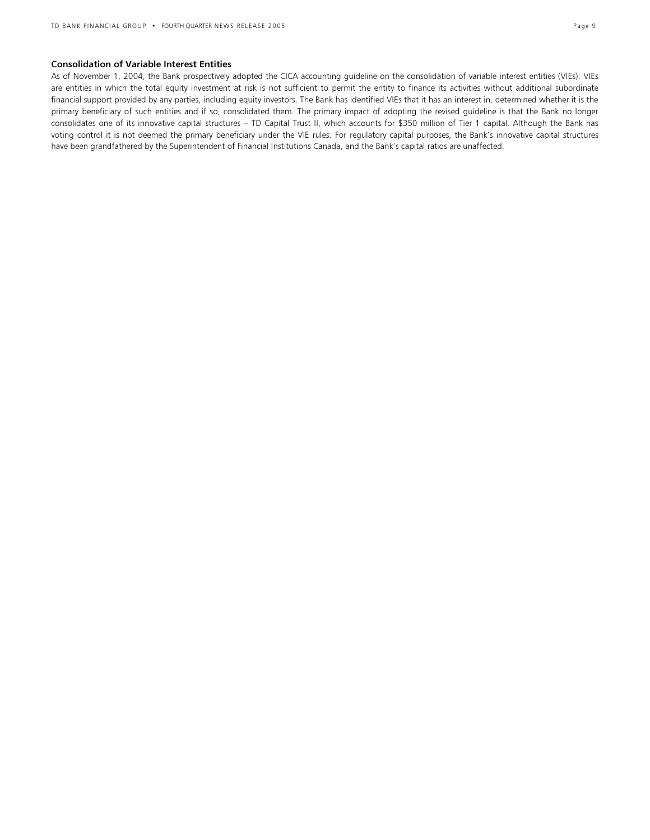#### Consolidation of Variable Interest Entities

As of November 1, 2004, the Bank prospectively adopted the CICA accounting guideline on the consolidation of variable interest entities (VIEs). VIEs are entities in which the total equity investment at risk is not sufficient to permit the entity to finance its activities without additional subordinate financial support provided by any parties, including equity investors. The Bank has identified VIEs that it has an interest in, determined whether it is the primary beneficiary of such entities and if so, consolidated them. The primary impact of adopting the revised guideline is that the Bank no longer consolidates one of its innovative capital structures – TD Capital Trust II, which accounts for \$350 million of Tier 1 capital. Although the Bank has voting control it is not deemed the primary beneficiary under the VIE rules. For regulatory capital purposes, the Bank's innovative capital structures have been grandfathered by the Superintendent of Financial Institutions Canada, and the Bank's capital ratios are unaffected.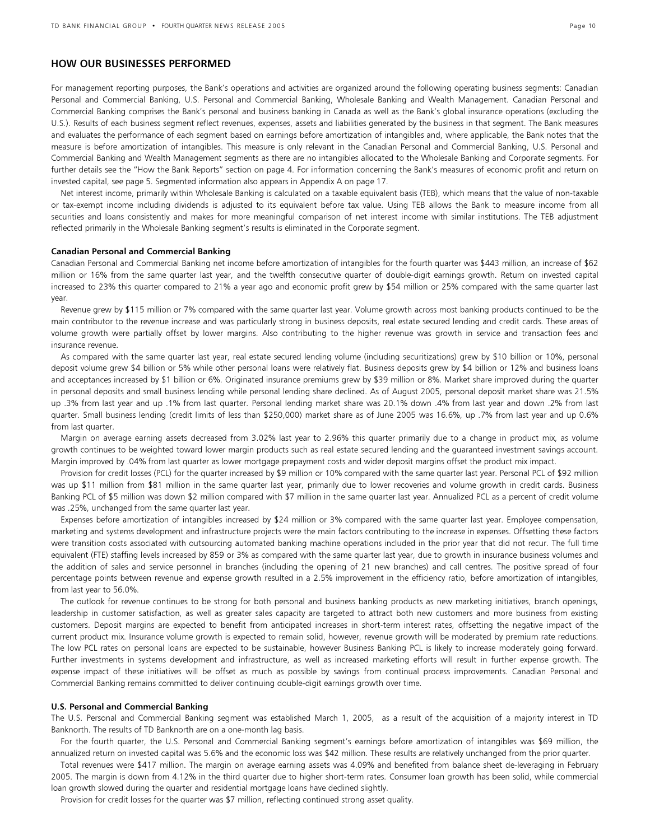## HOW OUR BUSINESSES PERFORMED

For management reporting purposes, the Bank's operations and activities are organized around the following operating business segments: Canadian Personal and Commercial Banking, U.S. Personal and Commercial Banking, Wholesale Banking and Wealth Management. Canadian Personal and Commercial Banking comprises the Bank's personal and business banking in Canada as well as the Bank's global insurance operations (excluding the U.S.). Results of each business segment reflect revenues, expenses, assets and liabilities generated by the business in that segment. The Bank measures and evaluates the performance of each segment based on earnings before amortization of intangibles and, where applicable, the Bank notes that the measure is before amortization of intangibles. This measure is only relevant in the Canadian Personal and Commercial Banking, U.S. Personal and Commercial Banking and Wealth Management segments as there are no intangibles allocated to the Wholesale Banking and Corporate segments. For further details see the "How the Bank Reports" section on page 4. For information concerning the Bank's measures of economic profit and return on invested capital, see page 5. Segmented information also appears in Appendix A on page 17.

 Net interest income, primarily within Wholesale Banking is calculated on a taxable equivalent basis (TEB), which means that the value of non-taxable or tax-exempt income including dividends is adjusted to its equivalent before tax value. Using TEB allows the Bank to measure income from all securities and loans consistently and makes for more meaningful comparison of net interest income with similar institutions. The TEB adjustment reflected primarily in the Wholesale Banking segment's results is eliminated in the Corporate segment.

#### Canadian Personal and Commercial Banking

Canadian Personal and Commercial Banking net income before amortization of intangibles for the fourth quarter was \$443 million, an increase of \$62 million or 16% from the same quarter last year, and the twelfth consecutive quarter of double-digit earnings growth. Return on invested capital increased to 23% this quarter compared to 21% a year ago and economic profit grew by \$54 million or 25% compared with the same quarter last year.

Revenue grew by \$115 million or 7% compared with the same quarter last year. Volume growth across most banking products continued to be the main contributor to the revenue increase and was particularly strong in business deposits, real estate secured lending and credit cards. These areas of volume growth were partially offset by lower margins. Also contributing to the higher revenue was growth in service and transaction fees and insurance revenue.

As compared with the same quarter last year, real estate secured lending volume (including securitizations) grew by \$10 billion or 10%, personal deposit volume grew \$4 billion or 5% while other personal loans were relatively flat. Business deposits grew by \$4 billion or 12% and business loans and acceptances increased by \$1 billion or 6%. Originated insurance premiums grew by \$39 million or 8%. Market share improved during the quarter in personal deposits and small business lending while personal lending share declined. As of August 2005, personal deposit market share was 21.5% up .3% from last year and up .1% from last quarter. Personal lending market share was 20.1% down .4% from last year and down .2% from last quarter. Small business lending (credit limits of less than \$250,000) market share as of June 2005 was 16.6%, up .7% from last year and up 0.6% from last quarter.

Margin on average earning assets decreased from 3.02% last year to 2.96% this quarter primarily due to a change in product mix, as volume growth continues to be weighted toward lower margin products such as real estate secured lending and the guaranteed investment savings account. Margin improved by .04% from last quarter as lower mortgage prepayment costs and wider deposit margins offset the product mix impact.

Provision for credit losses (PCL) for the quarter increased by \$9 million or 10% compared with the same quarter last year. Personal PCL of \$92 million was up \$11 million from \$81 million in the same quarter last year, primarily due to lower recoveries and volume growth in credit cards. Business Banking PCL of \$5 million was down \$2 million compared with \$7 million in the same quarter last year. Annualized PCL as a percent of credit volume was .25%, unchanged from the same quarter last year.

Expenses before amortization of intangibles increased by \$24 million or 3% compared with the same quarter last year. Employee compensation, marketing and systems development and infrastructure projects were the main factors contributing to the increase in expenses. Offsetting these factors were transition costs associated with outsourcing automated banking machine operations included in the prior year that did not recur. The full time equivalent (FTE) staffing levels increased by 859 or 3% as compared with the same quarter last year, due to growth in insurance business volumes and the addition of sales and service personnel in branches (including the opening of 21 new branches) and call centres. The positive spread of four percentage points between revenue and expense growth resulted in a 2.5% improvement in the efficiency ratio, before amortization of intangibles, from last year to 56.0%.

The outlook for revenue continues to be strong for both personal and business banking products as new marketing initiatives, branch openings, leadership in customer satisfaction, as well as greater sales capacity are targeted to attract both new customers and more business from existing customers. Deposit margins are expected to benefit from anticipated increases in short-term interest rates, offsetting the negative impact of the current product mix. Insurance volume growth is expected to remain solid, however, revenue growth will be moderated by premium rate reductions. The low PCL rates on personal loans are expected to be sustainable, however Business Banking PCL is likely to increase moderately going forward. Further investments in systems development and infrastructure, as well as increased marketing efforts will result in further expense growth. The expense impact of these initiatives will be offset as much as possible by savings from continual process improvements. Canadian Personal and Commercial Banking remains committed to deliver continuing double-digit earnings growth over time.

#### U.S. Personal and Commercial Banking

The U.S. Personal and Commercial Banking segment was established March 1, 2005, as a result of the acquisition of a majority interest in TD Banknorth. The results of TD Banknorth are on a one-month lag basis.

For the fourth quarter, the U.S. Personal and Commercial Banking segment's earnings before amortization of intangibles was \$69 million, the annualized return on invested capital was 5.6% and the economic loss was \$42 million. These results are relatively unchanged from the prior quarter.

Total revenues were \$417 million. The margin on average earning assets was 4.09% and benefited from balance sheet de-leveraging in February 2005. The margin is down from 4.12% in the third quarter due to higher short-term rates. Consumer loan growth has been solid, while commercial loan growth slowed during the quarter and residential mortgage loans have declined slightly.

Provision for credit losses for the quarter was \$7 million, reflecting continued strong asset quality.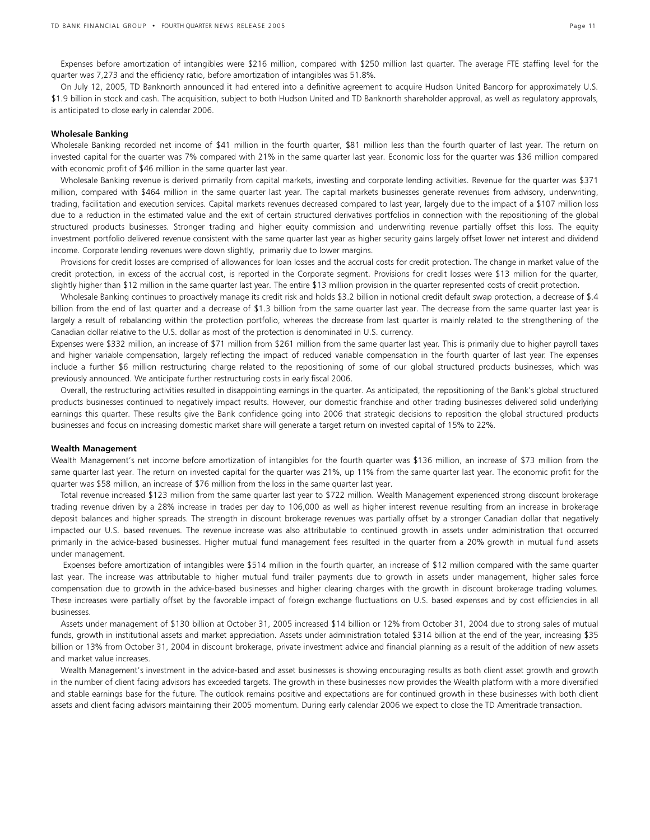Expenses before amortization of intangibles were \$216 million, compared with \$250 million last quarter. The average FTE staffing level for the quarter was 7,273 and the efficiency ratio, before amortization of intangibles was 51.8%.

On July 12, 2005, TD Banknorth announced it had entered into a definitive agreement to acquire Hudson United Bancorp for approximately U.S. \$1.9 billion in stock and cash. The acquisition, subject to both Hudson United and TD Banknorth shareholder approval, as well as regulatory approvals, is anticipated to close early in calendar 2006.

#### Wholesale Banking

Wholesale Banking recorded net income of \$41 million in the fourth quarter, \$81 million less than the fourth quarter of last year. The return on invested capital for the quarter was 7% compared with 21% in the same quarter last year. Economic loss for the quarter was \$36 million compared with economic profit of \$46 million in the same quarter last year.

Wholesale Banking revenue is derived primarily from capital markets, investing and corporate lending activities. Revenue for the quarter was \$371 million, compared with \$464 million in the same quarter last year. The capital markets businesses generate revenues from advisory, underwriting, trading, facilitation and execution services. Capital markets revenues decreased compared to last year, largely due to the impact of a \$107 million loss due to a reduction in the estimated value and the exit of certain structured derivatives portfolios in connection with the repositioning of the global structured products businesses. Stronger trading and higher equity commission and underwriting revenue partially offset this loss. The equity investment portfolio delivered revenue consistent with the same quarter last year as higher security gains largely offset lower net interest and dividend income. Corporate lending revenues were down slightly, primarily due to lower margins.

Provisions for credit losses are comprised of allowances for loan losses and the accrual costs for credit protection. The change in market value of the credit protection, in excess of the accrual cost, is reported in the Corporate segment. Provisions for credit losses were \$13 million for the quarter, slightly higher than \$12 million in the same quarter last year. The entire \$13 million provision in the quarter represented costs of credit protection.

Wholesale Banking continues to proactively manage its credit risk and holds \$3.2 billion in notional credit default swap protection, a decrease of \$.4 billion from the end of last quarter and a decrease of \$1.3 billion from the same quarter last year. The decrease from the same quarter last year is largely a result of rebalancing within the protection portfolio, whereas the decrease from last quarter is mainly related to the strengthening of the Canadian dollar relative to the U.S. dollar as most of the protection is denominated in U.S. currency.

Expenses were \$332 million, an increase of \$71 million from \$261 million from the same quarter last year. This is primarily due to higher payroll taxes and higher variable compensation, largely reflecting the impact of reduced variable compensation in the fourth quarter of last year. The expenses include a further \$6 million restructuring charge related to the repositioning of some of our global structured products businesses, which was previously announced. We anticipate further restructuring costs in early fiscal 2006.

Overall, the restructuring activities resulted in disappointing earnings in the quarter. As anticipated, the repositioning of the Bank's global structured products businesses continued to negatively impact results. However, our domestic franchise and other trading businesses delivered solid underlying earnings this quarter. These results give the Bank confidence going into 2006 that strategic decisions to reposition the global structured products businesses and focus on increasing domestic market share will generate a target return on invested capital of 15% to 22%.

#### Wealth Management

Wealth Management's net income before amortization of intangibles for the fourth quarter was \$136 million, an increase of \$73 million from the same quarter last year. The return on invested capital for the quarter was 21%, up 11% from the same quarter last year. The economic profit for the quarter was \$58 million, an increase of \$76 million from the loss in the same quarter last year.

Total revenue increased \$123 million from the same quarter last year to \$722 million. Wealth Management experienced strong discount brokerage trading revenue driven by a 28% increase in trades per day to 106,000 as well as higher interest revenue resulting from an increase in brokerage deposit balances and higher spreads. The strength in discount brokerage revenues was partially offset by a stronger Canadian dollar that negatively impacted our U.S. based revenues. The revenue increase was also attributable to continued growth in assets under administration that occurred primarily in the advice-based businesses. Higher mutual fund management fees resulted in the quarter from a 20% growth in mutual fund assets under management.

 Expenses before amortization of intangibles were \$514 million in the fourth quarter, an increase of \$12 million compared with the same quarter last year. The increase was attributable to higher mutual fund trailer payments due to growth in assets under management, higher sales force compensation due to growth in the advice-based businesses and higher clearing charges with the growth in discount brokerage trading volumes. These increases were partially offset by the favorable impact of foreign exchange fluctuations on U.S. based expenses and by cost efficiencies in all businesses.

Assets under management of \$130 billion at October 31, 2005 increased \$14 billion or 12% from October 31, 2004 due to strong sales of mutual funds, growth in institutional assets and market appreciation. Assets under administration totaled \$314 billion at the end of the year, increasing \$35 billion or 13% from October 31, 2004 in discount brokerage, private investment advice and financial planning as a result of the addition of new assets and market value increases.

Wealth Management's investment in the advice-based and asset businesses is showing encouraging results as both client asset growth and growth in the number of client facing advisors has exceeded targets. The growth in these businesses now provides the Wealth platform with a more diversified and stable earnings base for the future. The outlook remains positive and expectations are for continued growth in these businesses with both client assets and client facing advisors maintaining their 2005 momentum. During early calendar 2006 we expect to close the TD Ameritrade transaction.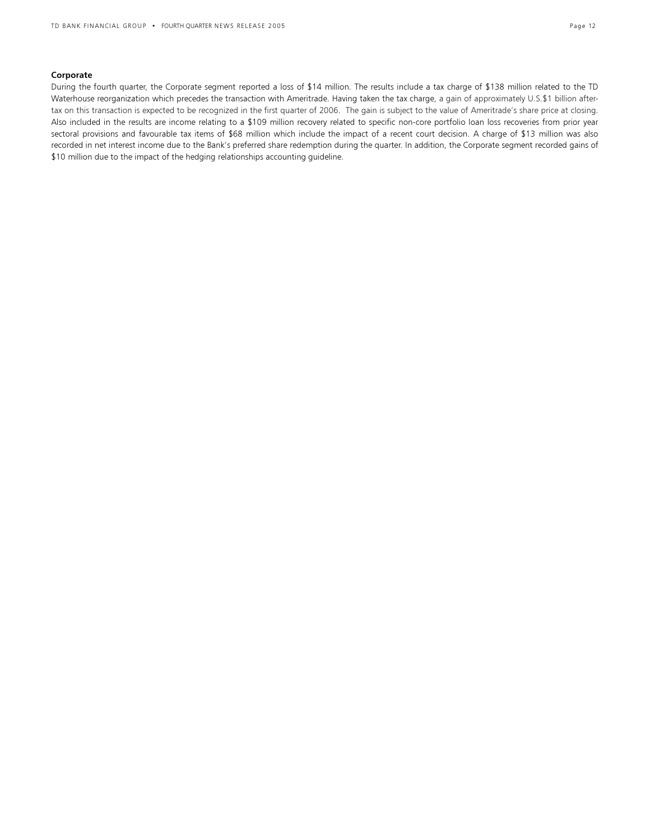#### Corporate

During the fourth quarter, the Corporate segment reported a loss of \$14 million. The results include a tax charge of \$138 million related to the TD Waterhouse reorganization which precedes the transaction with Ameritrade. Having taken the tax charge, a gain of approximately U.S.\$1 billion aftertax on this transaction is expected to be recognized in the first quarter of 2006. The gain is subject to the value of Ameritrade's share price at closing. Also included in the results are income relating to a \$109 million recovery related to specific non-core portfolio loan loss recoveries from prior year sectoral provisions and favourable tax items of \$68 million which include the impact of a recent court decision. A charge of \$13 million was also recorded in net interest income due to the Bank's preferred share redemption during the quarter. In addition, the Corporate segment recorded gains of \$10 million due to the impact of the hedging relationships accounting guideline.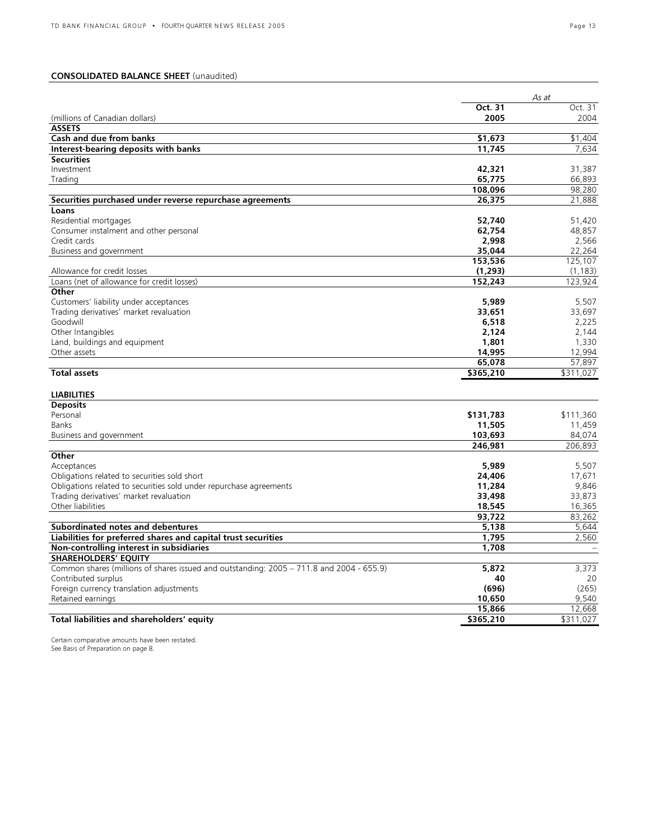## CONSOLIDATED BALANCE SHEET (unaudited)

|                                                                                          |           | As at     |
|------------------------------------------------------------------------------------------|-----------|-----------|
|                                                                                          | Oct. 31   | Oct. 31   |
| (millions of Canadian dollars)                                                           | 2005      | 2004      |
| <b>ASSETS</b>                                                                            |           |           |
| Cash and due from banks                                                                  | \$1,673   | \$1,404   |
| Interest-bearing deposits with banks                                                     | 11,745    | 7,634     |
| <b>Securities</b>                                                                        |           |           |
| Investment                                                                               | 42,321    | 31,387    |
| Trading                                                                                  | 65,775    | 66,893    |
|                                                                                          | 108,096   | 98,280    |
| Securities purchased under reverse repurchase agreements                                 | 26,375    | 21,888    |
| Loans                                                                                    |           |           |
| Residential mortgages                                                                    | 52,740    | 51,420    |
| Consumer instalment and other personal                                                   | 62,754    | 48,857    |
| Credit cards                                                                             | 2,998     | 2,566     |
| Business and government                                                                  | 35,044    | 22,264    |
|                                                                                          | 153,536   | 125,107   |
| Allowance for credit losses                                                              | (1, 293)  | (1, 183)  |
| Loans (net of allowance for credit losses)                                               | 152,243   | 123,924   |
| Other                                                                                    |           |           |
| Customers' liability under acceptances                                                   | 5,989     | 5,507     |
| Trading derivatives' market revaluation                                                  | 33,651    | 33,697    |
| Goodwill                                                                                 | 6,518     | 2,225     |
| Other Intangibles                                                                        | 2,124     | 2,144     |
| Land, buildings and equipment                                                            | 1,801     | 1,330     |
| Other assets                                                                             | 14,995    | 12,994    |
|                                                                                          | 65,078    | 57,897    |
| <b>Total assets</b>                                                                      | \$365,210 | \$311,027 |
| <b>LIABILITIES</b>                                                                       |           |           |
| <b>Deposits</b>                                                                          |           |           |
| Personal                                                                                 | \$131,783 | \$111,360 |
| Banks                                                                                    | 11,505    | 11,459    |
| Business and government                                                                  | 103,693   | 84,074    |
|                                                                                          | 246,981   | 206,893   |
| Other                                                                                    |           |           |
| Acceptances                                                                              | 5,989     | 5,507     |
| Obligations related to securities sold short                                             | 24,406    | 17,671    |
| Obligations related to securities sold under repurchase agreements                       | 11,284    | 9,846     |
| Trading derivatives' market revaluation                                                  | 33,498    | 33,873    |
| Other liabilities                                                                        | 18,545    | 16,365    |
|                                                                                          | 93.722    | 83.262    |
| Subordinated notes and debentures                                                        | 5,138     | 5,644     |
| Liabilities for preferred shares and capital trust securities                            | 1,795     | 2,560     |
| Non-controlling interest in subsidiaries                                                 | 1,708     |           |
| <b>SHAREHOLDERS' EQUITY</b>                                                              |           |           |
| Common shares (millions of shares issued and outstanding: 2005 - 711.8 and 2004 - 655.9) | 5,872     | 3,373     |
| Contributed surplus                                                                      | 40        | 20        |
| Foreign currency translation adjustments                                                 | (696)     | (265)     |
| Retained earnings                                                                        | 10,650    | 9.540     |
|                                                                                          | 15,866    | 12.668    |
| Total liabilities and shareholders' equity                                               | \$365,210 | \$311,027 |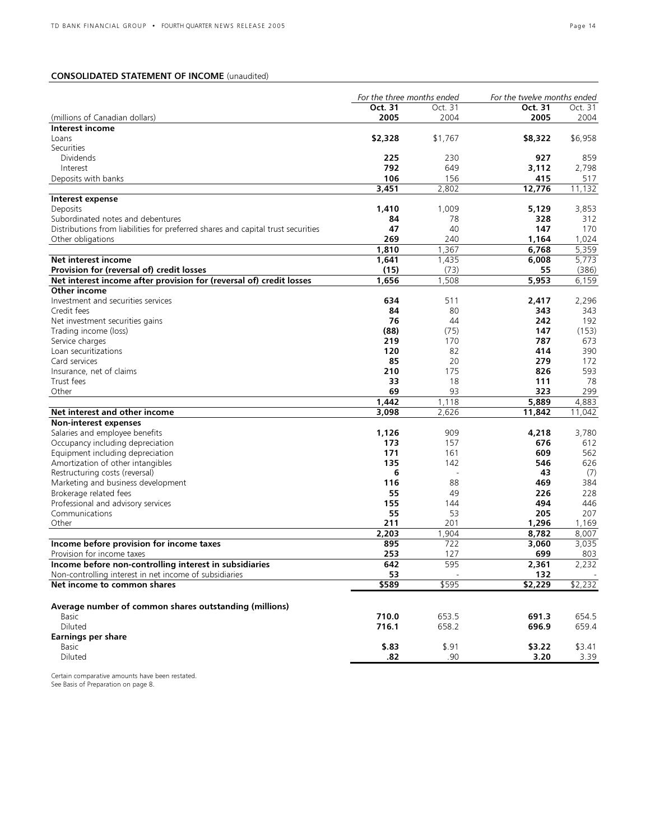## CONSOLIDATED STATEMENT OF INCOME (unaudited)

|                                                                                  | For the three months ended |         | For the twelve months ended |         |
|----------------------------------------------------------------------------------|----------------------------|---------|-----------------------------|---------|
|                                                                                  | Oct. 31                    | Oct. 31 | Oct. 31                     | Oct. 31 |
| (millions of Canadian dollars)                                                   | 2005                       | 2004    | 2005                        | 2004    |
| Interest income                                                                  |                            |         |                             |         |
| Loans                                                                            | \$2,328                    | \$1,767 | \$8,322                     | \$6,958 |
| Securities                                                                       |                            |         |                             |         |
| <b>Dividends</b>                                                                 | 225                        | 230     | 927                         | 859     |
| Interest                                                                         | 792                        | 649     | 3,112                       | 2,798   |
| Deposits with banks                                                              | 106                        | 156     | 415                         | 517     |
|                                                                                  | 3,451                      | 2,802   | 12,776                      | 11,132  |
| Interest expense                                                                 |                            |         |                             |         |
| Deposits                                                                         | 1,410                      | 1,009   | 5.129                       | 3,853   |
| Subordinated notes and debentures                                                | 84                         | 78      | 328                         | 312     |
| Distributions from liabilities for preferred shares and capital trust securities | 47                         | 40      | 147                         | 170     |
| Other obligations                                                                | 269                        | 240     | 1,164                       | 1,024   |
|                                                                                  | 1,810                      | 1,367   | 6,768                       | 5,359   |
| Net interest income                                                              | 1,641                      | 1,435   | 6,008                       | 5,773   |
| Provision for (reversal of) credit losses                                        | (15)                       | (73)    | 55                          | (386)   |
| Net interest income after provision for (reversal of) credit losses              | 1,656                      | 1,508   | 5,953                       | 6,159   |
| Other income                                                                     |                            |         |                             |         |
| Investment and securities services                                               | 634                        | 511     | 2,417                       | 2,296   |
| Credit fees                                                                      | 84                         | 80      | 343                         | 343     |
| Net investment securities gains                                                  | 76                         | 44      | 242                         | 192     |
| Trading income (loss)                                                            | (88)                       | (75)    | 147                         | (153)   |
| Service charges                                                                  | 219                        | 170     | 787                         | 673     |
| Loan securitizations                                                             | 120                        | 82      | 414                         | 390     |
| Card services                                                                    | 85                         | 20      | 279                         | 172     |
| Insurance, net of claims                                                         | 210                        | 175     | 826                         | 593     |
| Trust fees                                                                       | 33                         | 18      | 111                         | 78      |
| Other                                                                            | 69                         | 93      | 323                         | 299     |
|                                                                                  | 1,442                      | 1,118   | 5,889                       | 4,883   |
| Net interest and other income                                                    | 3,098                      | 2,626   | 11,842                      | 11,042  |
| Non-interest expenses                                                            |                            |         |                             |         |
| Salaries and employee benefits                                                   | 1,126                      | 909     | 4,218                       | 3,780   |
| Occupancy including depreciation                                                 | 173                        | 157     | 676                         | 612     |
| Equipment including depreciation                                                 | 171                        | 161     | 609                         | 562     |
| Amortization of other intangibles                                                | 135                        | 142     | 546                         | 626     |
| Restructuring costs (reversal)                                                   | 6                          | ÷,      | 43                          | (7)     |
| Marketing and business development                                               | 116                        | 88      | 469                         | 384     |
| Brokerage related fees                                                           | 55                         | 49      | 226                         | 228     |
| Professional and advisory services                                               | 155                        | 144     | 494                         | 446     |
| Communications                                                                   | 55                         | 53      | 205                         | 207     |
| Other                                                                            | 211                        | 201     | 1,296                       | 1,169   |
|                                                                                  | 2,203                      | 1,904   | 8,782                       | 8,007   |
| Income before provision for income taxes                                         | 895                        | 722     | 3,060                       | 3,035   |
| Provision for income taxes                                                       | 253                        | 127     | 699                         | 803     |
| Income before non-controlling interest in subsidiaries                           | 642                        | 595     | 2,361                       | 2,232   |
| Non-controlling interest in net income of subsidiaries                           | 53                         |         | 132                         |         |
| Net income to common shares                                                      | \$589                      | \$595   | \$2,229                     | \$2,232 |
|                                                                                  |                            |         |                             |         |
| Average number of common shares outstanding (millions)                           |                            |         |                             |         |
| Basic                                                                            | 710.0                      | 653.5   | 691.3                       | 654.5   |
| Diluted                                                                          | 716.1                      | 658.2   | 696.9                       | 659.4   |
| <b>Earnings per share</b>                                                        |                            |         |                             |         |
| Basic                                                                            | \$.83                      | \$.91   | \$3.22                      | \$3.41  |
| Diluted                                                                          | .82                        | .90     | 3.20                        | 3.39    |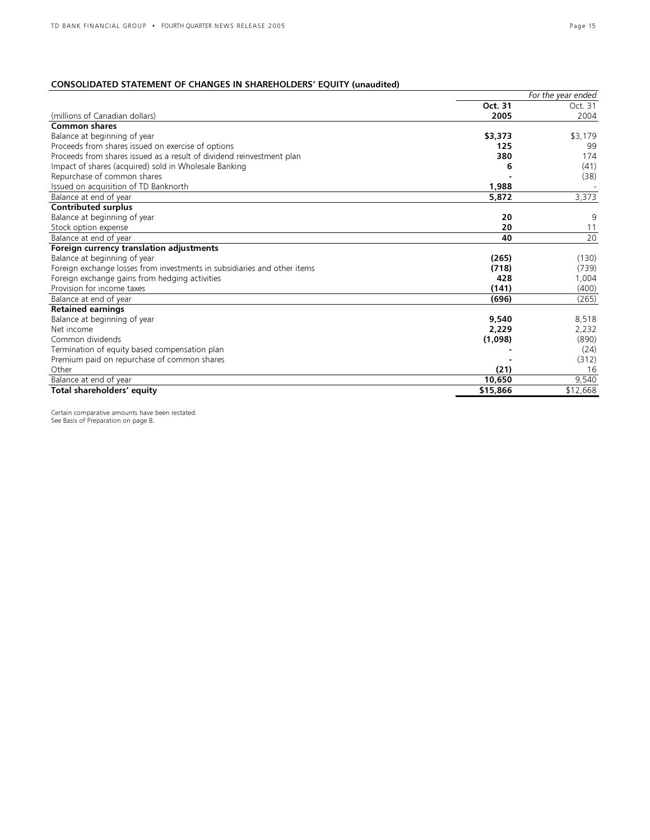## CONSOLIDATED STATEMENT OF CHANGES IN SHAREHOLDERS' EQUITY (unaudited)

|                                                                          |          | For the year ended |
|--------------------------------------------------------------------------|----------|--------------------|
|                                                                          | Oct. 31  | Oct. 31            |
| (millions of Canadian dollars)                                           | 2005     | 2004               |
| <b>Common shares</b>                                                     |          |                    |
| Balance at beginning of year                                             | \$3,373  | \$3,179            |
| Proceeds from shares issued on exercise of options                       | 125      | 99                 |
| Proceeds from shares issued as a result of dividend reinvestment plan    | 380      | 174                |
| Impact of shares (acquired) sold in Wholesale Banking                    | 6        | (41)               |
| Repurchase of common shares                                              |          | (38)               |
| Issued on acquisition of TD Banknorth                                    | 1,988    |                    |
| Balance at end of year                                                   | 5,872    | 3,373              |
| <b>Contributed surplus</b>                                               |          |                    |
| Balance at beginning of year                                             | 20       | 9                  |
| Stock option expense                                                     | 20       | 11                 |
| Balance at end of year                                                   | 40       | 20                 |
| Foreign currency translation adjustments                                 |          |                    |
| Balance at beginning of year                                             | (265)    | (130)              |
| Foreign exchange losses from investments in subsidiaries and other items | (718)    | (739)              |
| Foreign exchange gains from hedging activities                           | 428      | 1,004              |
| Provision for income taxes                                               | (141)    | (400)              |
| Balance at end of year                                                   | (696)    | (265)              |
| <b>Retained earnings</b>                                                 |          |                    |
| Balance at beginning of year                                             | 9.540    | 8,518              |
| Net income                                                               | 2,229    | 2,232              |
| Common dividends                                                         | (1,098)  | (890)              |
| Termination of equity based compensation plan                            |          | (24)               |
| Premium paid on repurchase of common shares                              |          | (312)              |
| Other                                                                    | (21)     | 16                 |
| Balance at end of year                                                   | 10,650   | 9,540              |
| Total shareholders' equity                                               | \$15,866 | \$12,668           |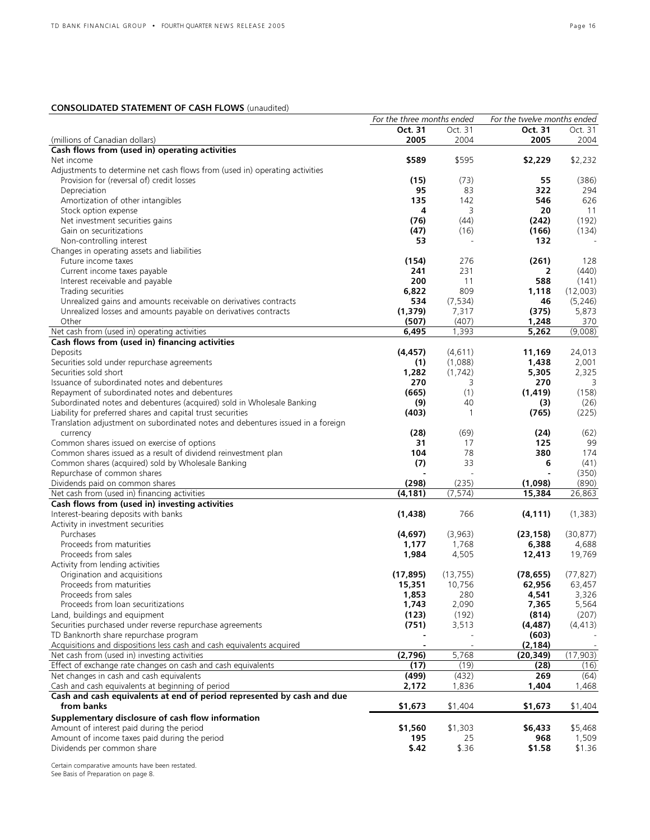## CONSOLIDATED STATEMENT OF CASH FLOWS (unaudited)

|                                                                                 | For the three months ended |           | For the twelve months ended |           |
|---------------------------------------------------------------------------------|----------------------------|-----------|-----------------------------|-----------|
|                                                                                 | Oct. 31                    | Oct. 31   | Oct. 31                     | Oct. 31   |
| (millions of Canadian dollars)                                                  | 2005                       | 2004      | 2005                        | 2004      |
| Cash flows from (used in) operating activities                                  |                            |           |                             |           |
| Net income                                                                      | \$589                      | \$595     | \$2,229                     | \$2,232   |
| Adjustments to determine net cash flows from (used in) operating activities     |                            |           |                             |           |
| Provision for (reversal of) credit losses                                       | (15)                       | (73)      | 55                          | (386)     |
| Depreciation                                                                    | 95                         | 83        | 322                         | 294       |
| Amortization of other intangibles                                               | 135                        | 142       | 546                         | 626       |
| Stock option expense                                                            | 4                          | 3         | 20                          | 11        |
| Net investment securities gains                                                 | (76)                       | (44)      | (242)                       | (192)     |
| Gain on securitizations                                                         | (47)                       | (16)      | (166)                       | (134)     |
| Non-controlling interest                                                        | 53                         |           | 132                         |           |
|                                                                                 |                            |           |                             |           |
| Changes in operating assets and liabilities                                     |                            |           |                             |           |
| Future income taxes                                                             | (154)                      | 276       | (261)                       | 128       |
| Current income taxes payable                                                    | 241                        | 231       | 2                           | (440)     |
| Interest receivable and payable                                                 | 200                        | 11        | 588                         | (141)     |
| Trading securities                                                              | 6,822                      | 809       | 1,118                       | (12,003)  |
| Unrealized gains and amounts receivable on derivatives contracts                | 534                        | (7, 534)  | 46                          | (5, 246)  |
| Unrealized losses and amounts payable on derivatives contracts                  | (1, 379)                   | 7,317     | (375)                       | 5,873     |
| Other                                                                           | (507)                      | (407)     | 1,248                       | 370       |
| Net cash from (used in) operating activities                                    | 6,495                      | 1,393     | 5,262                       | (9,008)   |
| Cash flows from (used in) financing activities                                  |                            |           |                             |           |
| Deposits                                                                        | (4, 457)                   | (4,611)   | 11,169                      | 24,013    |
| Securities sold under repurchase agreements                                     | (1)                        | (1,088)   | 1,438                       | 2,001     |
| Securities sold short                                                           |                            |           |                             |           |
|                                                                                 | 1,282                      | (1,742)   | 5,305                       | 2,325     |
| Issuance of subordinated notes and debentures                                   | 270                        | 3         | 270                         | 3         |
| Repayment of subordinated notes and debentures                                  | (665)                      | (1)       | (1, 419)                    | (158)     |
| Subordinated notes and debentures (acquired) sold in Wholesale Banking          | (9)                        | 40        | (3)                         | (26)      |
| Liability for preferred shares and capital trust securities                     | (403)                      | 1         | (765)                       | (225)     |
| Translation adjustment on subordinated notes and debentures issued in a foreign |                            |           |                             |           |
| currency                                                                        | (28)                       | (69)      | (24)                        | (62)      |
| Common shares issued on exercise of options                                     | 31                         | 17        | 125                         | 99        |
| Common shares issued as a result of dividend reinvestment plan                  | 104                        | 78        | 380                         | 174       |
| Common shares (acquired) sold by Wholesale Banking                              | (7)                        | 33        | 6                           | (41)      |
| Repurchase of common shares                                                     |                            |           |                             | (350)     |
| Dividends paid on common shares                                                 | (298)                      | (235)     | (1,098)                     | (890)     |
| Net cash from (used in) financing activities                                    | (4, 181)                   | (7, 574)  | 15,384                      | 26,863    |
|                                                                                 |                            |           |                             |           |
| Cash flows from (used in) investing activities                                  |                            |           |                             |           |
| Interest-bearing deposits with banks                                            | (1, 438)                   | 766       | (4, 111)                    | (1,383)   |
| Activity in investment securities                                               |                            |           |                             |           |
| Purchases                                                                       | (4,697)                    | (3,963)   | (23, 158)                   | (30, 877) |
| Proceeds from maturities                                                        | 1,177                      | 1,768     | 6,388                       | 4,688     |
| Proceeds from sales                                                             | 1,984                      | 4,505     | 12,413                      | 19,769    |
| Activity from lending activities                                                |                            |           |                             |           |
| Origination and acquisitions                                                    | (17, 895)                  | (13, 755) | (78, 655)                   | (77, 827) |
| Proceeds from maturities                                                        | 15,351                     | 10,756    | 62,956                      | 63,457    |
| Proceeds from sales                                                             | 1,853                      | 280       | 4,541                       | 3,326     |
| Proceeds from loan securitizations                                              | 1,743                      | 2,090     | 7,365                       | 5,564     |
| Land, buildings and equipment                                                   | (123)                      | (192)     | (814)                       | (207)     |
| Securities purchased under reverse repurchase agreements                        | (751)                      | 3,513     | (4, 487)                    | (4, 413)  |
| TD Banknorth share repurchase program                                           |                            |           | (603)                       |           |
|                                                                                 |                            |           |                             |           |
| Acquisitions and dispositions less cash and cash equivalents acquired           |                            |           | (2, 184)                    |           |
| Net cash from (used in) investing activities                                    | (2,796)                    | 5,768     | (20, 349)                   | (17,903)  |
| Effect of exchange rate changes on cash and cash equivalents                    | (17)                       | (19)      | (28)                        | (16)      |
| Net changes in cash and cash equivalents                                        | (499)                      | (432)     | 269                         | (64)      |
| Cash and cash equivalents at beginning of period                                | 2,172                      | 1,836     | 1,404                       | 1,468     |
| Cash and cash equivalents at end of period represented by cash and due          |                            |           |                             |           |
| from banks                                                                      | \$1,673                    | \$1,404   | \$1,673                     | \$1,404   |
| Supplementary disclosure of cash flow information                               |                            |           |                             |           |
| Amount of interest paid during the period                                       | \$1,560                    | \$1,303   | \$6,433                     | \$5,468   |
| Amount of income taxes paid during the period                                   | 195                        | 25        | 968                         | 1,509     |
| Dividends per common share                                                      | \$.42                      | \$.36     | \$1.58                      | \$1.36    |
|                                                                                 |                            |           |                             |           |
| Certain comparative amounts have been restated.                                 |                            |           |                             |           |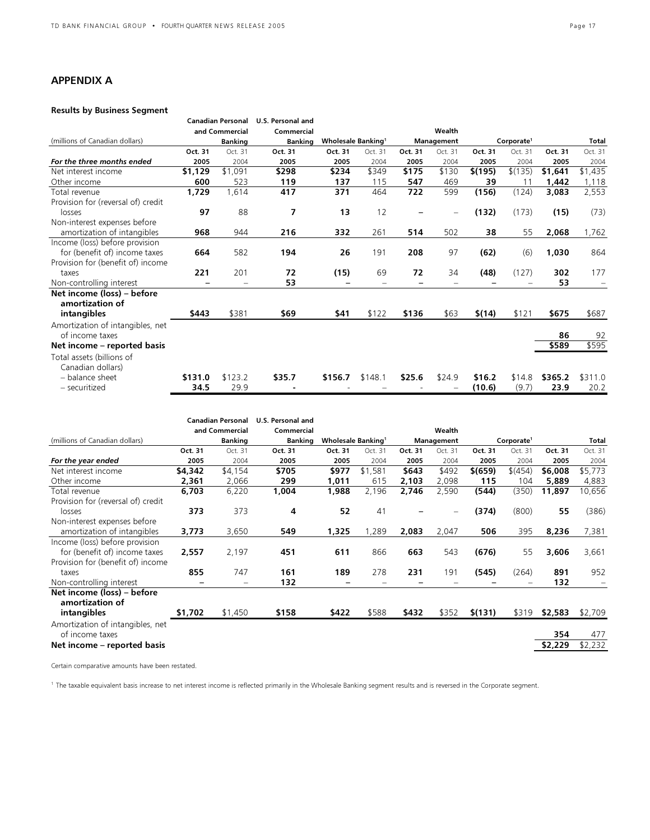## APPENDIX A

## Results by Business Segment

|                                    | <b>Canadian Personal</b><br>and Commercial |         | U.S. Personal and<br>Commercial |                                       |         |            |                          |                        |         |              |         |
|------------------------------------|--------------------------------------------|---------|---------------------------------|---------------------------------------|---------|------------|--------------------------|------------------------|---------|--------------|---------|
|                                    |                                            |         |                                 |                                       |         |            | Wealth                   |                        |         |              |         |
| (millions of Canadian dollars)     | <b>Banking</b>                             |         | <b>Banking</b>                  | <b>Wholesale Banking</b> <sup>1</sup> |         | Management |                          | Corporate <sup>1</sup> |         | <b>Total</b> |         |
|                                    | Oct. 31                                    | Oct. 31 | Oct. 31                         | Oct. 31                               | Oct. 31 | Oct. 31    | Oct. 31                  | Oct. 31                | Oct. 31 | Oct. 31      | Oct. 31 |
| For the three months ended         | 2005                                       | 2004    | 2005                            | 2005                                  | 2004    | 2005       | 2004                     | 2005                   | 2004    | 2005         | 2004    |
| Net interest income                | \$1,129                                    | \$1,091 | \$298                           | \$234                                 | \$349   | \$175      | \$130                    | \$(195)                | \$(135) | \$1,641      | \$1,435 |
| Other income                       | 600                                        | 523     | 119                             | 137                                   | 115     | 547        | 469                      | 39                     | 11      | 1,442        | 1,118   |
| Total revenue                      | 1,729                                      | 1,614   | 417                             | 371                                   | 464     | 722        | 599                      | (156)                  | (124)   | 3,083        | 2,553   |
| Provision for (reversal of) credit |                                            |         |                                 |                                       |         |            |                          |                        |         |              |         |
| losses                             | 97                                         | 88      | 7                               | 13                                    | 12      |            | $\overline{\phantom{0}}$ | (132)                  | (173)   | (15)         | (73)    |
| Non-interest expenses before       |                                            |         |                                 |                                       |         |            |                          |                        |         |              |         |
| amortization of intangibles        | 968                                        | 944     | 216                             | 332                                   | 261     | 514        | 502                      | 38                     | 55      | 2,068        | 1,762   |
| Income (loss) before provision     |                                            |         |                                 |                                       |         |            |                          |                        |         |              |         |
| for (benefit of) income taxes      | 664                                        | 582     | 194                             | 26                                    | 191     | 208        | 97                       | (62)                   | (6)     | 1,030        | 864     |
| Provision for (benefit of) income  |                                            |         |                                 |                                       |         |            |                          |                        |         |              |         |
| taxes                              | 221                                        | 201     | 72                              | (15)                                  | 69      | 72         | 34                       | (48)                   | (127)   | 302          | 177     |
| Non-controlling interest           |                                            |         | 53                              |                                       |         |            |                          |                        |         | 53           |         |
| Net income (loss) - before         |                                            |         |                                 |                                       |         |            |                          |                        |         |              |         |
| amortization of                    |                                            |         |                                 |                                       |         |            |                          |                        |         |              |         |
| intangibles                        | \$443                                      | \$381   | \$69                            | \$41                                  | \$122   | \$136      | \$63                     | \$(14)                 | \$121   | \$675        | \$687   |
| Amortization of intangibles, net   |                                            |         |                                 |                                       |         |            |                          |                        |         |              |         |
| of income taxes                    |                                            |         |                                 |                                       |         |            |                          |                        |         | 86           | 92      |
| Net income – reported basis        |                                            |         |                                 |                                       |         |            |                          |                        |         | \$589        | \$595   |
| Total assets (billions of          |                                            |         |                                 |                                       |         |            |                          |                        |         |              |         |
| Canadian dollars)                  |                                            |         |                                 |                                       |         |            |                          |                        |         |              |         |
| - balance sheet                    | \$131.0                                    | \$123.2 | \$35.7                          | \$156.7                               | \$148.1 | \$25.6     | \$24.9                   | \$16.2                 | \$14.8  | \$365.2      | \$311.0 |
| - securitized                      | 34.5                                       | 29.9    |                                 |                                       |         |            |                          | (10.6)                 | (9.7)   | 23.9         | 20.2    |

|                                    | <b>Canadian Personal</b><br>and Commercial |         | U.S. Personal and<br>Commercial |                           |         |            |                   |                        |         |         |         |
|------------------------------------|--------------------------------------------|---------|---------------------------------|---------------------------|---------|------------|-------------------|------------------------|---------|---------|---------|
|                                    |                                            |         |                                 |                           |         |            | Wealth            |                        |         |         |         |
| (millions of Canadian dollars)     | <b>Banking</b>                             |         | <b>Banking</b>                  | <b>Wholesale Banking1</b> |         | Management |                   | Corporate <sup>1</sup> |         |         | Total   |
|                                    | Oct. 31                                    | Oct. 31 | Oct. 31                         | Oct. 31                   | Oct. 31 | Oct. 31    | Oct. 31           | Oct. 31                | Oct. 31 | Oct. 31 | Oct. 31 |
| For the year ended                 | 2005                                       | 2004    | 2005                            | 2005                      | 2004    | 2005       | 2004              | 2005                   | 2004    | 2005    | 2004    |
| Net interest income                | \$4,342                                    | \$4,154 | \$705                           | \$977                     | \$1,581 | \$643      | \$492             | \$(659)                | \$(454) | \$6,008 | \$5,773 |
| Other income                       | 2,361                                      | 2,066   | 299                             | 1,011                     | 615     | 2,103      | 2,098             | 115                    | 104     | 5,889   | 4,883   |
| Total revenue                      | 6,703                                      | 6,220   | 1,004                           | 1,988                     | 2,196   | 2,746      | 2,590             | (544)                  | (350)   | 11,897  | 10,656  |
| Provision for (reversal of) credit |                                            |         |                                 |                           |         |            |                   |                        |         |         |         |
| losses                             | 373                                        | 373     | 4                               | 52                        | 41      |            | $\qquad \qquad -$ | (374)                  | (800)   | 55      | (386)   |
| Non-interest expenses before       |                                            |         |                                 |                           |         |            |                   |                        |         |         |         |
| amortization of intangibles        | 3,773                                      | 3,650   | 549                             | 1,325                     | 1,289   | 2,083      | 2,047             | 506                    | 395     | 8,236   | 7,381   |
| Income (loss) before provision     |                                            |         |                                 |                           |         |            |                   |                        |         |         |         |
| for (benefit of) income taxes      | 2,557                                      | 2,197   | 451                             | 611                       | 866     | 663        | 543               | (676)                  | 55      | 3,606   | 3,661   |
| Provision for (benefit of) income  |                                            |         |                                 |                           |         |            |                   |                        |         |         |         |
| taxes                              | 855                                        | 747     | 161                             | 189                       | 278     | 231        | 191               | (545)                  | (264)   | 891     | 952     |
| Non-controlling interest           |                                            | -       | 132                             |                           |         |            |                   |                        |         | 132     |         |
| Net income (loss) – before         |                                            |         |                                 |                           |         |            |                   |                        |         |         |         |
| amortization of                    |                                            |         |                                 |                           |         |            |                   |                        |         |         |         |
| intangibles                        | \$1,702                                    | \$1,450 | \$158                           | \$422                     | \$588   | \$432      | \$352             | \$(131)                | \$319   | \$2,583 | \$2,709 |
| Amortization of intangibles, net   |                                            |         |                                 |                           |         |            |                   |                        |         |         |         |
| of income taxes                    |                                            |         |                                 |                           |         |            |                   |                        |         | 354     | 477     |
| Net income – reported basis        |                                            |         |                                 |                           |         |            |                   |                        |         | \$2,229 | \$2,232 |
|                                    |                                            |         |                                 |                           |         |            |                   |                        |         |         |         |

Certain comparative amounts have been restated.

<sup>1</sup> The taxable equivalent basis increase to net interest income is reflected primarily in the Wholesale Banking segment results and is reversed in the Corporate segment.